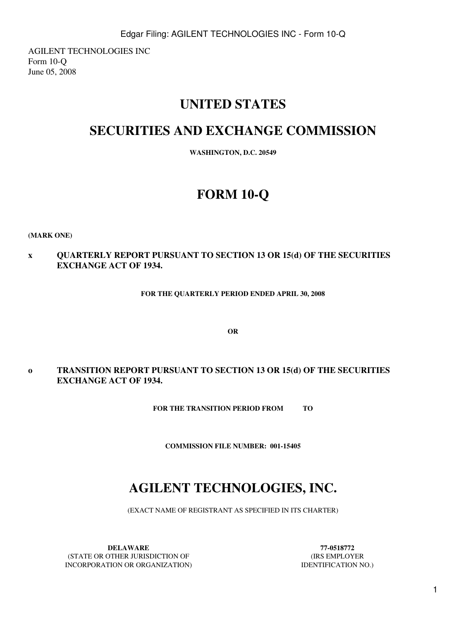AGILENT TECHNOLOGIES INC Form 10-Q June 05, 2008

# **UNITED STATES**

# **SECURITIES AND EXCHANGE COMMISSION**

**WASHINGTON, D.C. 20549**

# **FORM 10-Q**

**(MARK ONE)**

**x QUARTERLY REPORT PURSUANT TO SECTION 13 OR 15(d) OF THE SECURITIES EXCHANGE ACT OF 1934.**

**FOR THE QUARTERLY PERIOD ENDED APRIL 30, 2008**

**OR**

**o TRANSITION REPORT PURSUANT TO SECTION 13 OR 15(d) OF THE SECURITIES EXCHANGE ACT OF 1934.**

**FOR THE TRANSITION PERIOD FROM TO**

**COMMISSION FILE NUMBER: 001-15405**

# **AGILENT TECHNOLOGIES, INC.**

(EXACT NAME OF REGISTRANT AS SPECIFIED IN ITS CHARTER)

**DELAWARE 77-0518772** (STATE OR OTHER JURISDICTION OF (IRS EMPLOYER INCORPORATION OR ORGANIZATION) IDENTIFICATION NO.)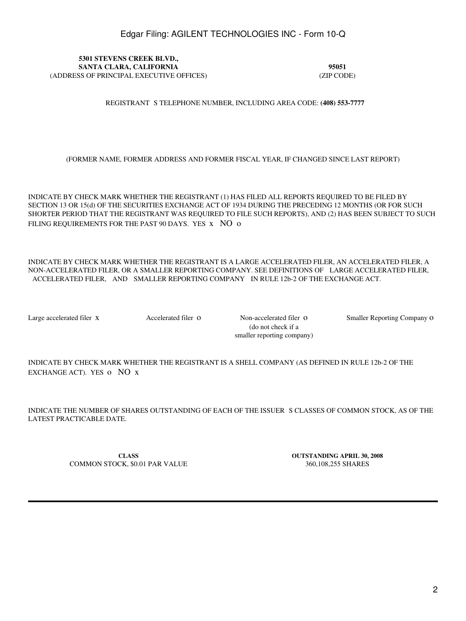**5301 STEVENS CREEK BLVD., SANTA CLARA, CALIFORNIA 95051** (ADDRESS OF PRINCIPAL EXECUTIVE OFFICES) (ZIP CODE)

REGISTRANT S TELEPHONE NUMBER, INCLUDING AREA CODE: (408) 553-7777

(FORMER NAME, FORMER ADDRESS AND FORMER FISCAL YEAR, IF CHANGED SINCE LAST REPORT)

INDICATE BY CHECK MARK WHETHER THE REGISTRANT (1) HAS FILED ALL REPORTS REQUIRED TO BE FILED BY SECTION 13 OR 15(d) OF THE SECURITIES EXCHANGE ACT OF 1934 DURING THE PRECEDING 12 MONTHS (OR FOR SUCH SHORTER PERIOD THAT THE REGISTRANT WAS REQUIRED TO FILE SUCH REPORTS), AND (2) HAS BEEN SUBJECT TO SUCH FILING REQUIREMENTS FOR THE PAST 90 DAYS. YES x NO o

INDICATE BY CHECK MARK WHETHER THE REGISTRANT IS A LARGE ACCELERATED FILER, AN ACCELERATED FILER, A NON-ACCELERATED FILER, OR A SMALLER REPORTING COMPANY. SEE DEFINITIONS OF LARGE ACCELERATED FILER, ACCELERATED FILER, AND SMALLER REPORTING COMPANY IN RULE 12b-2 OF THE EXCHANGE ACT.

(do not check if a smaller reporting company)

Large accelerated filer x Accelerated filer o Non-accelerated filer o Smaller Reporting Company o

INDICATE BY CHECK MARK WHETHER THE REGISTRANT IS A SHELL COMPANY (AS DEFINED IN RULE 12b-2 OF THE EXCHANGE ACT). YES O NO x

INDICATE THE NUMBER OF SHARES OUTSTANDING OF EACH OF THE ISSUERS CLASSES OF COMMON STOCK, AS OF THE LATEST PRACTICABLE DATE.

COMMON STOCK, \$0.01 PAR VALUE 360,108,255 SHARES

**CLASS OUTSTANDING APRIL 30, 2008**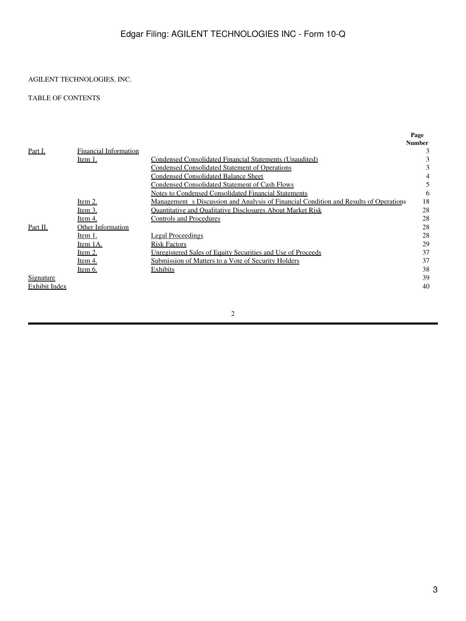### AGILENT TECHNOLOGIES, INC.

### TABLE OF CONTENTS

|                  |                       |                                                                                              | Page          |
|------------------|-----------------------|----------------------------------------------------------------------------------------------|---------------|
|                  |                       |                                                                                              | <b>Number</b> |
| Part I.          | Financial Information |                                                                                              | 3             |
|                  | Item 1.               | <b>Condensed Consolidated Financial Statements (Unaudited)</b>                               |               |
|                  |                       | Condensed Consolidated Statement of Operations                                               |               |
|                  |                       | Condensed Consolidated Balance Sheet                                                         |               |
|                  |                       | Condensed Consolidated Statement of Cash Flows                                               |               |
|                  |                       | <b>Notes to Condensed Consolidated Financial Statements</b>                                  | 6             |
|                  | Item 2.               | <u>Management s Discussion and Analysis of Financial Condition and Results of Operations</u> | 18            |
|                  | Item 3.               | <b>Ouantitative and Oualitative Disclosures About Market Risk</b>                            | 28            |
|                  | Item 4.               | Controls and Procedures                                                                      | 28            |
| Part II.         | Other Information     |                                                                                              | 28            |
|                  | Item 1.               | Legal Proceedings                                                                            | 28            |
|                  | Item 1A.              | <b>Risk Factors</b>                                                                          | 29            |
|                  | ltem 2.               | <u>Unregistered Sales of Equity Securities and Use of Proceeds</u>                           | 37            |
|                  | Item 4.               | Submission of Matters to a Vote of Security Holders                                          | 37            |
|                  | Item 6.               | Exhibits                                                                                     | 38            |
| <u>Signature</u> |                       |                                                                                              | 39            |
| Exhibit Index    |                       |                                                                                              | 40            |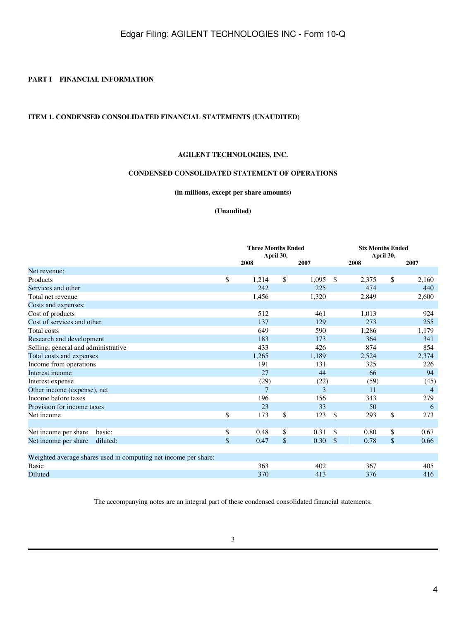### <span id="page-3-0"></span>**PART I FINANCIAL INFORMATION**

### <span id="page-3-2"></span><span id="page-3-1"></span>**ITEM 1. CONDENSED CONSOLIDATED FINANCIAL STATEMENTS (UNAUDITED)**

### **AGILENT TECHNOLOGIES, INC.**

### **CONDENSED CONSOLIDATED STATEMENT OF OPERATIONS**

**(in millions, except per share amounts)**

### **(Unaudited)**

|                                                                 | <b>Three Months Ended</b><br>April 30, |    |       |               | <b>Six Months Ended</b><br>April 30, |    |                |  |
|-----------------------------------------------------------------|----------------------------------------|----|-------|---------------|--------------------------------------|----|----------------|--|
|                                                                 | 2008                                   |    | 2007  |               | 2008                                 |    | 2007           |  |
| Net revenue:                                                    |                                        |    |       |               |                                      |    |                |  |
| Products                                                        | \$<br>1,214                            | \$ | 1,095 | \$            | 2,375                                | \$ | 2,160          |  |
| Services and other                                              | 242                                    |    | 225   |               | 474                                  |    | 440            |  |
| Total net revenue                                               | 1,456                                  |    | 1,320 |               | 2,849                                |    | 2,600          |  |
| Costs and expenses:                                             |                                        |    |       |               |                                      |    |                |  |
| Cost of products                                                | 512                                    |    | 461   |               | 1,013                                |    | 924            |  |
| Cost of services and other                                      | 137                                    |    | 129   |               | 273                                  |    | 255            |  |
| Total costs                                                     | 649                                    |    | 590   |               | 1,286                                |    | 1,179          |  |
| Research and development                                        | 183                                    |    | 173   |               | 364                                  |    | 341            |  |
| Selling, general and administrative                             | 433                                    |    | 426   |               | 874                                  |    | 854            |  |
| Total costs and expenses                                        | 1,265                                  |    | 1,189 |               | 2,524                                |    | 2,374          |  |
| Income from operations                                          | 191                                    |    | 131   |               | 325                                  |    | 226            |  |
| Interest income                                                 | 27                                     |    | 44    |               | 66                                   |    | 94             |  |
| Interest expense                                                | (29)                                   |    | (22)  |               | (59)                                 |    | (45)           |  |
| Other income (expense), net                                     | $\overline{7}$                         |    | 3     |               | 11                                   |    | $\overline{4}$ |  |
| Income before taxes                                             | 196                                    |    | 156   |               | 343                                  |    | 279            |  |
| Provision for income taxes                                      | 23                                     |    | 33    |               | 50                                   |    | 6              |  |
| Net income                                                      | \$<br>173                              | \$ | 123   | $\mathcal{S}$ | 293                                  | \$ | 273            |  |
|                                                                 |                                        |    |       |               |                                      |    |                |  |
| Net income per share<br>basic:                                  | \$<br>0.48                             | \$ | 0.31  | $\mathbb{S}$  | 0.80                                 | \$ | 0.67           |  |
| Net income per share<br>diluted:                                | \$<br>0.47                             | \$ | 0.30  | $\sqrt{2}$    | 0.78                                 | \$ | 0.66           |  |
|                                                                 |                                        |    |       |               |                                      |    |                |  |
| Weighted average shares used in computing net income per share: |                                        |    |       |               |                                      |    |                |  |
| Basic                                                           | 363                                    |    | 402   |               | 367                                  |    | 405            |  |
| Diluted                                                         | 370                                    |    | 413   |               | 376                                  |    | 416            |  |

The accompanying notes are an integral part of these condensed consolidated financial statements.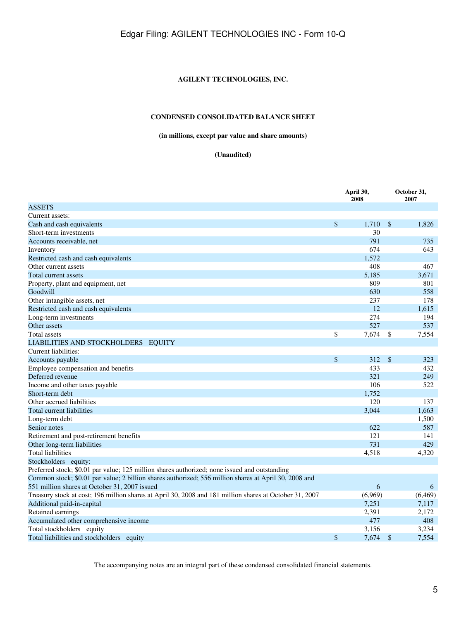### **AGILENT TECHNOLOGIES, INC.**

### **CONDENSED CONSOLIDATED BALANCE SHEET**

### **(in millions, except par value and share amounts)**

### **(Unaudited)**

<span id="page-4-0"></span>

|                                                                                                         | April 30,<br>2008 |               | October 31,<br>2007 |
|---------------------------------------------------------------------------------------------------------|-------------------|---------------|---------------------|
| <b>ASSETS</b>                                                                                           |                   |               |                     |
| Current assets:                                                                                         |                   |               |                     |
| Cash and cash equivalents                                                                               | \$<br>1,710       | $\mathcal{S}$ | 1.826               |
| Short-term investments                                                                                  | 30                |               |                     |
| Accounts receivable, net                                                                                | 791               |               | 735                 |
| Inventory                                                                                               | 674               |               | 643                 |
| Restricted cash and cash equivalents                                                                    | 1,572             |               |                     |
| Other current assets                                                                                    | 408               |               | 467                 |
| Total current assets                                                                                    | 5,185             |               | 3.671               |
| Property, plant and equipment, net                                                                      | 809               |               | 801                 |
| Goodwill                                                                                                | 630               |               | 558                 |
| Other intangible assets, net                                                                            | 237               |               | 178                 |
| Restricted cash and cash equivalents                                                                    | 12                |               | 1,615               |
| Long-term investments                                                                                   | 274               |               | 194                 |
| Other assets                                                                                            | 527               |               | 537                 |
| <b>Total</b> assets                                                                                     | \$<br>7,674       | \$            | 7,554               |
| LIABILITIES AND STOCKHOLDERS EQUITY                                                                     |                   |               |                     |
| Current liabilities:                                                                                    |                   |               |                     |
| Accounts payable                                                                                        | \$<br>312         | $\mathcal{S}$ | 323                 |
| Employee compensation and benefits                                                                      | 433               |               | 432                 |
| Deferred revenue                                                                                        | 321               |               | 249                 |
| Income and other taxes payable                                                                          | 106               |               | 522                 |
| Short-term debt                                                                                         | 1,752             |               |                     |
| Other accrued liabilities                                                                               | 120               |               | 137                 |
| Total current liabilities                                                                               | 3,044             |               | 1,663               |
| Long-term debt                                                                                          |                   |               | 1,500               |
| Senior notes                                                                                            | 622               |               | 587                 |
| Retirement and post-retirement benefits                                                                 | 121               |               | 141                 |
| Other long-term liabilities                                                                             | 731               |               | 429                 |
| <b>Total liabilities</b>                                                                                | 4,518             |               | 4,320               |
| Stockholders equity:                                                                                    |                   |               |                     |
| Preferred stock; \$0.01 par value; 125 million shares authorized; none issued and outstanding           |                   |               |                     |
| Common stock; \$0.01 par value; 2 billion shares authorized; 556 million shares at April 30, 2008 and   |                   |               |                     |
| 551 million shares at October 31, 2007 issued                                                           | 6                 |               | 6                   |
| Treasury stock at cost; 196 million shares at April 30, 2008 and 181 million shares at October 31, 2007 | (6,969)           |               | (6, 469)            |
| Additional paid-in-capital                                                                              | 7,251             |               | 7,117               |
| Retained earnings                                                                                       | 2,391             |               | 2,172               |
| Accumulated other comprehensive income                                                                  | 477               |               | 408                 |
| Total stockholders equity                                                                               | 3,156             |               | 3,234               |
| Total liabilities and stockholders equity                                                               | \$<br>7,674       | $\mathcal{S}$ | 7,554               |

The accompanying notes are an integral part of these condensed consolidated financial statements.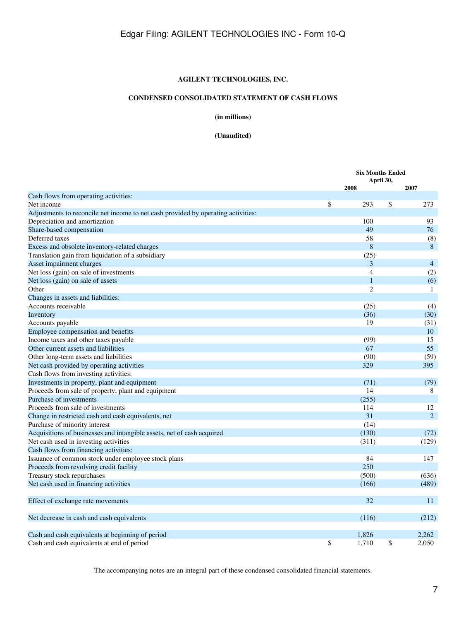### **AGILENT TECHNOLOGIES, INC.**

### **CONDENSED CONSOLIDATED STATEMENT OF CASH FLOWS**

**(in millions)**

**(Unaudited)**

<span id="page-6-0"></span>

|                                                                                   | <b>Six Months Ended</b> |    |                |
|-----------------------------------------------------------------------------------|-------------------------|----|----------------|
|                                                                                   | April 30,               |    |                |
|                                                                                   | 2008                    |    | 2007           |
| Cash flows from operating activities:                                             |                         |    |                |
| Net income                                                                        | \$<br>293               | \$ | 273            |
| Adjustments to reconcile net income to net cash provided by operating activities: |                         |    |                |
| Depreciation and amortization                                                     | 100                     |    | 93             |
| Share-based compensation                                                          | 49                      |    | 76             |
| Deferred taxes                                                                    | 58                      |    | (8)            |
| Excess and obsolete inventory-related charges                                     | 8                       |    | 8              |
| Translation gain from liquidation of a subsidiary                                 | (25)                    |    |                |
| Asset impairment charges                                                          | 3                       |    | $\overline{4}$ |
| Net loss (gain) on sale of investments                                            | 4                       |    | (2)            |
| Net loss (gain) on sale of assets                                                 | $\mathbf{1}$            |    | (6)            |
| Other                                                                             | $\overline{2}$          |    | 1              |
| Changes in assets and liabilities:                                                |                         |    |                |
| Accounts receivable                                                               | (25)                    |    | (4)            |
| Inventory                                                                         | (36)                    |    | (30)           |
| Accounts payable                                                                  | 19                      |    | (31)           |
| Employee compensation and benefits                                                |                         |    | 10             |
| Income taxes and other taxes payable                                              | (99)                    |    | 15             |
| Other current assets and liabilities                                              | 67                      |    | 55             |
| Other long-term assets and liabilities                                            | (90)                    |    | (59)           |
| Net cash provided by operating activities                                         | 329                     |    | 395            |
| Cash flows from investing activities:                                             |                         |    |                |
| Investments in property, plant and equipment                                      | (71)                    |    | (79)           |
| Proceeds from sale of property, plant and equipment                               | 14                      |    | 8              |
| Purchase of investments                                                           | (255)                   |    |                |
| Proceeds from sale of investments                                                 | 114                     |    | 12             |
| Change in restricted cash and cash equivalents, net                               | 31                      |    | 2              |
| Purchase of minority interest                                                     | (14)                    |    |                |
| Acquisitions of businesses and intangible assets, net of cash acquired            | (130)                   |    | (72)           |
| Net cash used in investing activities                                             | (311)                   |    | (129)          |
| Cash flows from financing activities:                                             |                         |    |                |
| Issuance of common stock under employee stock plans                               | 84                      |    | 147            |
| Proceeds from revolving credit facility                                           | 250                     |    |                |
| Treasury stock repurchases                                                        | (500)                   |    | (636)          |
| Net cash used in financing activities                                             | (166)                   |    | (489)          |
|                                                                                   |                         |    |                |
| Effect of exchange rate movements                                                 | 32                      |    | 11             |
| Net decrease in cash and cash equivalents                                         | (116)                   |    | (212)          |
| Cash and cash equivalents at beginning of period                                  | 1,826                   |    | 2,262          |
| Cash and cash equivalents at end of period                                        | \$<br>1,710             | \$ | 2,050          |

The accompanying notes are an integral part of these condensed consolidated financial statements.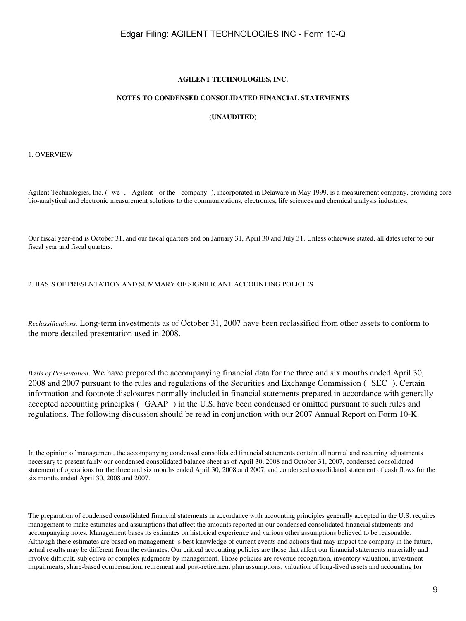#### **AGILENT TECHNOLOGIES, INC.**

#### **NOTES TO CONDENSED CONSOLIDATED FINANCIAL STATEMENTS**

### **(UNAUDITED)**

<span id="page-8-0"></span>1. OVERVIEW

Agilent Technologies, Inc. (we, Agilent or the company), incorporated in Delaware in May 1999, is a measurement company, providing core bio-analytical and electronic measurement solutions to the communications, electronics, life sciences and chemical analysis industries.

Our fiscal year-end is October 31, and our fiscal quarters end on January 31, April 30 and July 31. Unless otherwise stated, all dates refer to our fiscal year and fiscal quarters.

2. BASIS OF PRESENTATION AND SUMMARY OF SIGNIFICANT ACCOUNTING POLICIES

*Reclassifications.* Long-term investments as of October 31, 2007 have been reclassified from other assets to conform to the more detailed presentation used in 2008.

*Basis of Presentation*. We have prepared the accompanying financial data for the three and six months ended April 30, 2008 and 2007 pursuant to the rules and regulations of the Securities and Exchange Commission (SEC). Certain information and footnote disclosures normally included in financial statements prepared in accordance with generally accepted accounting principles (GAAP) in the U.S. have been condensed or omitted pursuant to such rules and regulations. The following discussion should be read in conjunction with our 2007 Annual Report on Form 10-K.

In the opinion of management, the accompanying condensed consolidated financial statements contain all normal and recurring adjustments necessary to present fairly our condensed consolidated balance sheet as of April 30, 2008 and October 31, 2007, condensed consolidated statement of operations for the three and six months ended April 30, 2008 and 2007, and condensed consolidated statement of cash flows for the six months ended April 30, 2008 and 2007.

The preparation of condensed consolidated financial statements in accordance with accounting principles generally accepted in the U.S. requires management to make estimates and assumptions that affect the amounts reported in our condensed consolidated financial statements and accompanying notes. Management bases its estimates on historical experience and various other assumptions believed to be reasonable. Although these estimates are based on management s best knowledge of current events and actions that may impact the company in the future, actual results may be different from the estimates. Our critical accounting policies are those that affect our financial statements materially and involve difficult, subjective or complex judgments by management. Those policies are revenue recognition, inventory valuation, investment impairments, share-based compensation, retirement and post-retirement plan assumptions, valuation of long-lived assets and accounting for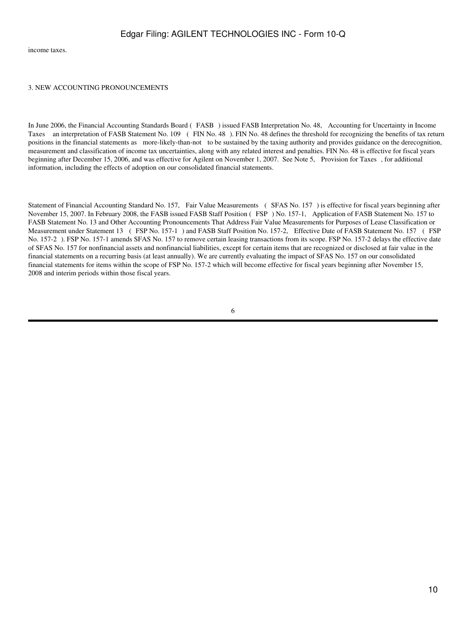income taxes.

#### 3. NEW ACCOUNTING PRONOUNCEMENTS

In June 2006, the Financial Accounting Standards Board (FASB) issued FASB Interpretation No. 48, Accounting for Uncertainty in Income Taxes an interpretation of FASB Statement No. 109 (FIN No. 48). FIN No. 48 defines the threshold for recognizing the benefits of tax return positions in the financial statements as more-likely-than-not to be sustained by the taxing authority and provides guidance on the derecognition, measurement and classification of income tax uncertainties, along with any related interest and penalties. FIN No. 48 is effective for fiscal years beginning after December 15, 2006, and was effective for Agilent on November 1, 2007. See Note 5, Provision for Taxes, for additional information, including the effects of adoption on our consolidated financial statements.

Statement of Financial Accounting Standard No. 157, Fair Value Measurements (SFAS No. 157) is effective for fiscal years beginning after November 15, 2007. In February 2008, the FASB issued FASB Staff Position (FSP) No. 157-1, Application of FASB Statement No. 157 to FASB Statement No. 13 and Other Accounting Pronouncements That Address Fair Value Measurements for Purposes of Lease Classification or Measurement under Statement 13 (FSP No. 157-1) and FASB Staff Position No. 157-2, Effective Date of FASB Statement No. 157 (FSP No. 157-2). FSP No. 157-1 amends SFAS No. 157 to remove certain leasing transactions from its scope. FSP No. 157-2 delays the effective date of SFAS No. 157 for nonfinancial assets and nonfinancial liabilities, except for certain items that are recognized or disclosed at fair value in the financial statements on a recurring basis (at least annually). We are currently evaluating the impact of SFAS No. 157 on our consolidated financial statements for items within the scope of FSP No. 157-2 which will become effective for fiscal years beginning after November 15, 2008 and interim periods within those fiscal years.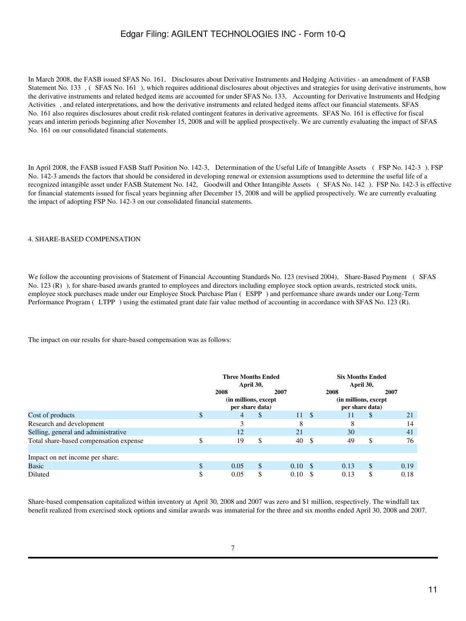In March 2008, the FASB issued SFAS No. 161, Disclosures about Derivative Instruments and Hedging Activities - an amendment of FASB Statement No. 133 , (SFAS No. 161), which requires additional disclosures about objectives and strategies for using derivative instruments, how the derivative instruments and related hedged items are accounted for under SFAS No. 133, Accounting for Derivative Instruments and Hedging Activities, and related interpretations, and how the derivative instruments and related hedged items affect our financial statements. SFAS No. 161 also requires disclosures about credit risk-related contingent features in derivative agreements. SFAS No. 161 is effective for fiscal years and interim periods beginning after November 15, 2008 and will be applied prospectively. We are currently evaluating the impact of SFAS No. 161 on our consolidated financial statements.

In April 2008, the FASB issued FASB Staff Position No. 142-3, Determination of the Useful Life of Intangible Assets (FSP No. 142-3). FSP No. 142-3 amends the factors that should be considered in developing renewal or extension assumptions used to determine the useful life of a recognized intangible asset under FASB Statement No. 142, Goodwill and Other Intangible Assets (SFAS No. 142). FSP No. 142-3 is effective for financial statements issued for fiscal years beginning after December 15, 2008 and will be applied prospectively. We are currently evaluating the impact of adopting FSP No. 142-3 on our consolidated financial statements.

#### 4. SHARE-BASED COMPENSATION

We follow the accounting provisions of Statement of Financial Accounting Standards No. 123 (revised 2004), Share-Based Payment (SFAS No. 123 (R)), for share-based awards granted to employees and directors including employee stock option awards, restricted stock units, employee stock purchases made under our Employee Stock Purchase Plan (ESPP) and performance share awards under our Long-Term Performance Program (LTPP) using the estimated grant date fair value method of accounting in accordance with SFAS No. 123 (R).

The impact on our results for share-based compensation was as follows:

|                                        | <b>Three Months Ended</b><br>April 30, |                                                  |    | <b>Six Months Ended</b><br>April 30, |      |                                                  |    |      |
|----------------------------------------|----------------------------------------|--------------------------------------------------|----|--------------------------------------|------|--------------------------------------------------|----|------|
|                                        |                                        | 2008<br>(in millions, except)<br>per share data) |    | 2007                                 |      | 2008<br>(in millions, except)<br>per share data) |    | 2007 |
| Cost of products                       | ¢<br>Ф                                 | 4                                                | \$ | 11                                   | -S   | 11                                               | S  | 21   |
| Research and development               |                                        |                                                  |    | 8                                    |      | 8                                                |    | 14   |
| Selling, general and administrative    |                                        | 12                                               |    | 21                                   |      | 30                                               |    | 41   |
| Total share-based compensation expense | \$                                     | 19                                               | \$ | 40                                   | - \$ | 49                                               | \$ | 76   |
| Impact on net income per share:        |                                        |                                                  |    |                                      |      |                                                  |    |      |
| Basic                                  |                                        | 0.05                                             | \$ | $0.10 \, \text{S}$                   |      | 0.13                                             | \$ | 0.19 |
| Diluted                                |                                        | 0.05                                             | \$ | 0.10                                 | S    | 0.13                                             | \$ | 0.18 |

Share-based compensation capitalized within inventory at April 30, 2008 and 2007 was zero and \$1 million, respectively. The windfall tax benefit realized from exercised stock options and similar awards was immaterial for the three and six months ended April 30, 2008 and 2007.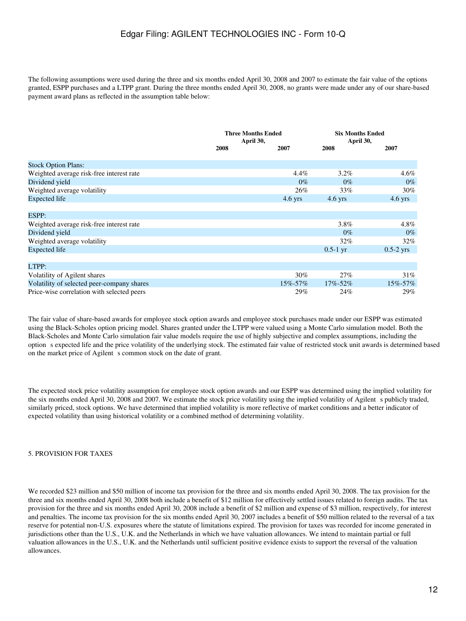The following assumptions were used during the three and six months ended April 30, 2008 and 2007 to estimate the fair value of the options granted, ESPP purchases and a LTPP grant. During the three months ended April 30, 2008, no grants were made under any of our share-based payment award plans as reflected in the assumption table below:

|                                            |      | <b>Three Months Ended</b><br>April 30, | <b>Six Months Ended</b><br>April 30, |             |
|--------------------------------------------|------|----------------------------------------|--------------------------------------|-------------|
|                                            | 2008 | 2007                                   | 2008                                 | 2007        |
| <b>Stock Option Plans:</b>                 |      |                                        |                                      |             |
| Weighted average risk-free interest rate   |      | 4.4%                                   | $3.2\%$                              | $4.6\%$     |
| Dividend yield                             |      | $0\%$                                  | $0\%$                                | $0\%$       |
| Weighted average volatility                |      | 26%                                    | 33%                                  | 30%         |
| Expected life                              |      | $4.6$ yrs                              | $4.6$ yrs                            | $4.6$ yrs   |
|                                            |      |                                        |                                      |             |
| ESPP:                                      |      |                                        |                                      |             |
| Weighted average risk-free interest rate   |      |                                        | 3.8%                                 | $4.8\%$     |
| Dividend yield                             |      |                                        | $0\%$                                | $0\%$       |
| Weighted average volatility                |      |                                        | $32\%$                               | 32%         |
| Expected life                              |      |                                        | $0.5-1$ yr                           | $0.5-2$ yrs |
|                                            |      |                                        |                                      |             |
| LTPP:                                      |      |                                        |                                      |             |
| Volatility of Agilent shares               |      | $30\%$                                 | 27%                                  | 31%         |
| Volatility of selected peer-company shares |      | $15\% - 57\%$                          | $17\% - 52\%$                        | 15%-57%     |
| Price-wise correlation with selected peers |      | 29%                                    | 24%                                  | 29%         |

The fair value of share-based awards for employee stock option awards and employee stock purchases made under our ESPP was estimated using the Black-Scholes option pricing model. Shares granted under the LTPP were valued using a Monte Carlo simulation model. Both the Black-Scholes and Monte Carlo simulation fair value models require the use of highly subjective and complex assumptions, including the options expected life and the price volatility of the underlying stock. The estimated fair value of restricted stock unit awards is determined based on the market price of Agilent s common stock on the date of grant.

The expected stock price volatility assumption for employee stock option awards and our ESPP was determined using the implied volatility for the six months ended April 30, 2008 and 2007. We estimate the stock price volatility using the implied volatility of Agilent s publicly traded, similarly priced, stock options. We have determined that implied volatility is more reflective of market conditions and a better indicator of expected volatility than using historical volatility or a combined method of determining volatility.

### 5. PROVISION FOR TAXES

We recorded \$23 million and \$50 million of income tax provision for the three and six months ended April 30, 2008. The tax provision for the three and six months ended April 30, 2008 both include a benefit of \$12 million for effectively settled issues related to foreign audits. The tax provision for the three and six months ended April 30, 2008 include a benefit of \$2 million and expense of \$3 million, respectively, for interest and penalties. The income tax provision for the six months ended April 30, 2007 includes a benefit of \$50 million related to the reversal of a tax reserve for potential non-U.S. exposures where the statute of limitations expired. The provision for taxes was recorded for income generated in jurisdictions other than the U.S., U.K. and the Netherlands in which we have valuation allowances. We intend to maintain partial or full valuation allowances in the U.S., U.K. and the Netherlands until sufficient positive evidence exists to support the reversal of the valuation allowances.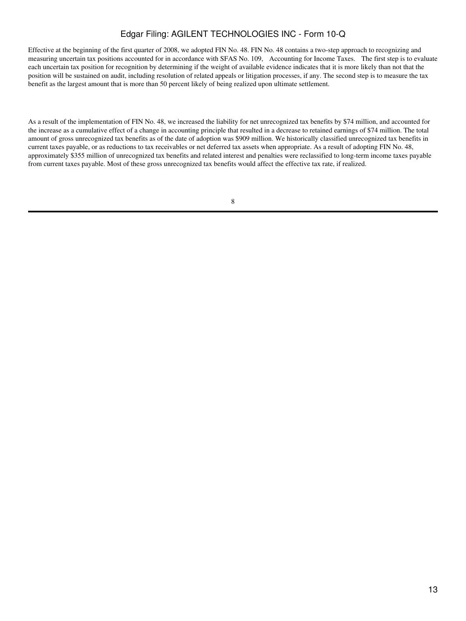Effective at the beginning of the first quarter of 2008, we adopted FIN No. 48. FIN No. 48 contains a two-step approach to recognizing and measuring uncertain tax positions accounted for in accordance with SFAS No. 109, Accounting for Income Taxes. The first step is to evaluate each uncertain tax position for recognition by determining if the weight of available evidence indicates that it is more likely than not that the position will be sustained on audit, including resolution of related appeals or litigation processes, if any. The second step is to measure the tax benefit as the largest amount that is more than 50 percent likely of being realized upon ultimate settlement.

As a result of the implementation of FIN No. 48, we increased the liability for net unrecognized tax benefits by \$74 million, and accounted for the increase as a cumulative effect of a change in accounting principle that resulted in a decrease to retained earnings of \$74 million. The total amount of gross unrecognized tax benefits as of the date of adoption was \$909 million. We historically classified unrecognized tax benefits in current taxes payable, or as reductions to tax receivables or net deferred tax assets when appropriate. As a result of adopting FIN No. 48, approximately \$355 million of unrecognized tax benefits and related interest and penalties were reclassified to long-term income taxes payable from current taxes payable. Most of these gross unrecognized tax benefits would affect the effective tax rate, if realized.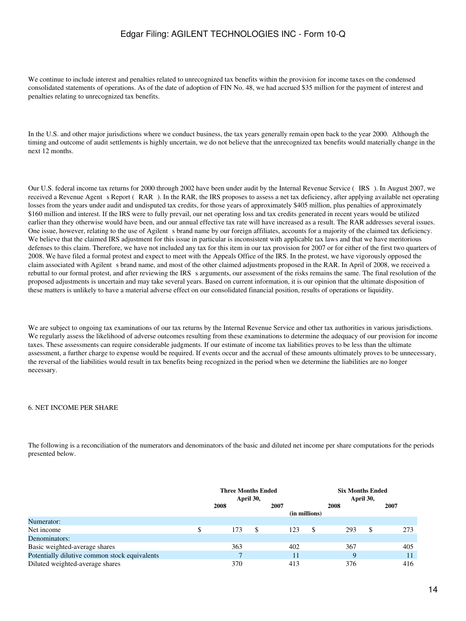We continue to include interest and penalties related to unrecognized tax benefits within the provision for income taxes on the condensed consolidated statements of operations. As of the date of adoption of FIN No. 48, we had accrued \$35 million for the payment of interest and penalties relating to unrecognized tax benefits.

In the U.S. and other major jurisdictions where we conduct business, the tax years generally remain open back to the year 2000. Although the timing and outcome of audit settlements is highly uncertain, we do not believe that the unrecognized tax benefits would materially change in the next 12 months.

Our U.S. federal income tax returns for 2000 through 2002 have been under audit by the Internal Revenue Service (IRS). In August 2007, we received a Revenue Agent s Report (RAR). In the RAR, the IRS proposes to assess a net tax deficiency, after applying available net operating losses from the years under audit and undisputed tax credits, for those years of approximately \$405 million, plus penalties of approximately \$160 million and interest. If the IRS were to fully prevail, our net operating loss and tax credits generated in recent years would be utilized earlier than they otherwise would have been, and our annual effective tax rate will have increased as a result. The RAR addresses several issues. One issue, however, relating to the use of Agilent s brand name by our foreign affiliates, accounts for a majority of the claimed tax deficiency. We believe that the claimed IRS adjustment for this issue in particular is inconsistent with applicable tax laws and that we have meritorious defenses to this claim. Therefore, we have not included any tax for this item in our tax provision for 2007 or for either of the first two quarters of 2008. We have filed a formal protest and expect to meet with the Appeals Office of the IRS. In the protest, we have vigorously opposed the claim associated with Agilent s brand name, and most of the other claimed adjustments proposed in the RAR. In April of 2008, we received a rebuttal to our formal protest, and after reviewing the IRS s arguments, our assessment of the risks remains the same. The final resolution of the proposed adjustments is uncertain and may take several years. Based on current information, it is our opinion that the ultimate disposition of these matters is unlikely to have a material adverse effect on our consolidated financial position, results of operations or liquidity.

We are subject to ongoing tax examinations of our tax returns by the Internal Revenue Service and other tax authorities in various jurisdictions. We regularly assess the likelihood of adverse outcomes resulting from these examinations to determine the adequacy of our provision for income taxes. These assessments can require considerable judgments. If our estimate of income tax liabilities proves to be less than the ultimate assessment, a further charge to expense would be required. If events occur and the accrual of these amounts ultimately proves to be unnecessary, the reversal of the liabilities would result in tax benefits being recognized in the period when we determine the liabilities are no longer necessary.

#### 6. NET INCOME PER SHARE

The following is a reconciliation of the numerators and denominators of the basic and diluted net income per share computations for the periods presented below.

|                                               | <b>Three Months Ended</b><br>April 30, |      |     |    |      | <b>Six Months Ended</b><br>April 30, |               |      |     |    |      |     |
|-----------------------------------------------|----------------------------------------|------|-----|----|------|--------------------------------------|---------------|------|-----|----|------|-----|
|                                               |                                        | 2008 |     |    | 2007 |                                      | (in millions) | 2008 |     |    | 2007 |     |
| Numerator:                                    |                                        |      |     |    |      |                                      |               |      |     |    |      |     |
| Net income                                    |                                        |      | 173 | \$ |      | 123                                  | \$            |      | 293 | \$ |      | 273 |
| Denominators:                                 |                                        |      |     |    |      |                                      |               |      |     |    |      |     |
| Basic weighted-average shares                 |                                        |      | 363 |    |      | 402                                  |               |      | 367 |    |      | 405 |
| Potentially dilutive common stock equivalents |                                        |      |     |    |      | 11                                   |               |      | Q   |    |      | 11  |
| Diluted weighted-average shares               |                                        |      | 370 |    |      | 413                                  |               |      | 376 |    |      | 416 |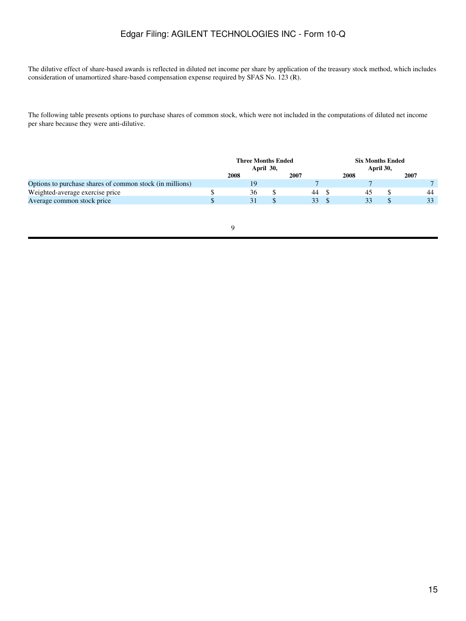The dilutive effect of share-based awards is reflected in diluted net income per share by application of the treasury stock method, which includes consideration of unamortized share-based compensation expense required by SFAS No. 123 (R).

The following table presents options to purchase shares of common stock, which were not included in the computations of diluted net income per share because they were anti-dilutive.

|                                                          | <b>Three Months Ended</b><br>April 30, |      |  |      | <b>Six Months Ended</b><br>April 30, |  |      |  |
|----------------------------------------------------------|----------------------------------------|------|--|------|--------------------------------------|--|------|--|
|                                                          |                                        | 2008 |  | 2007 | 2008                                 |  | 2007 |  |
| Options to purchase shares of common stock (in millions) |                                        |      |  |      |                                      |  |      |  |
| Weighted-average exercise price                          |                                        | 36   |  | 44   | 45                                   |  | 44   |  |
| Average common stock price                               |                                        |      |  | 33   | 33                                   |  | 33   |  |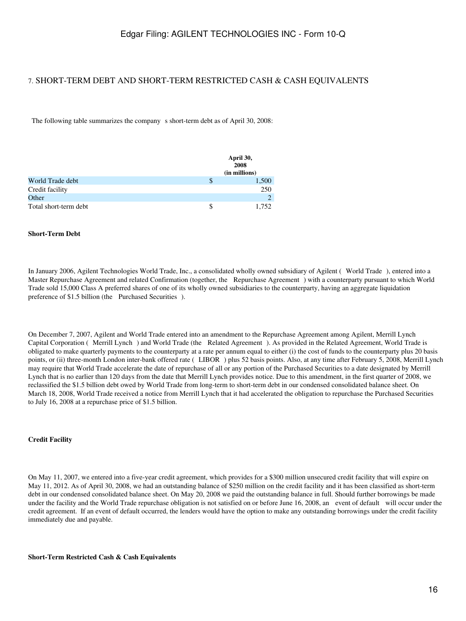### 7. SHORT-TERM DEBT AND SHORT-TERM RESTRICTED CASH & CASH EQUIVALENTS

The following table summarizes the company s short-term debt as of April 30, 2008:

|                       |   | April 30,<br>2008<br>(in millions) |
|-----------------------|---|------------------------------------|
| World Trade debt      | S | 1,500                              |
| Credit facility       |   | 250                                |
| Other                 |   |                                    |
| Total short-term debt |   | 1.752                              |

#### **Short-Term Debt**

In January 2006, Agilent Technologies World Trade, Inc., a consolidated wholly owned subsidiary of Agilent (World Trade), entered into a Master Repurchase Agreement and related Confirmation (together, the Repurchase Agreement) with a counterparty pursuant to which World Trade sold 15,000 Class A preferred shares of one of its wholly owned subsidiaries to the counterparty, having an aggregate liquidation preference of \$1.5 billion (the Purchased Securities).

On December 7, 2007, Agilent and World Trade entered into an amendment to the Repurchase Agreement among Agilent, Merrill Lynch Capital Corporation (Merrill Lynch) and World Trade (the Related Agreement). As provided in the Related Agreement, World Trade is obligated to make quarterly payments to the counterparty at a rate per annum equal to either (i) the cost of funds to the counterparty plus 20 basis points, or (ii) three-month London inter-bank offered rate (LIBOR) plus 52 basis points. Also, at any time after February 5, 2008, Merrill Lynch may require that World Trade accelerate the date of repurchase of all or any portion of the Purchased Securities to a date designated by Merrill Lynch that is no earlier than 120 days from the date that Merrill Lynch provides notice. Due to this amendment, in the first quarter of 2008, we reclassified the \$1.5 billion debt owed by World Trade from long-term to short-term debt in our condensed consolidated balance sheet. On March 18, 2008, World Trade received a notice from Merrill Lynch that it had accelerated the obligation to repurchase the Purchased Securities to July 16, 2008 at a repurchase price of \$1.5 billion.

#### **Credit Facility**

On May 11, 2007, we entered into a five-year credit agreement, which provides for a \$300 million unsecured credit facility that will expire on May 11, 2012. As of April 30, 2008, we had an outstanding balance of \$250 million on the credit facility and it has been classified as short-term debt in our condensed consolidated balance sheet. On May 20, 2008 we paid the outstanding balance in full. Should further borrowings be made under the facility and the World Trade repurchase obligation is not satisfied on or before June 16, 2008, an event of default will occur under the credit agreement. If an event of default occurred, the lenders would have the option to make any outstanding borrowings under the credit facility immediately due and payable.

#### **Short-Term Restricted Cash & Cash Equivalents**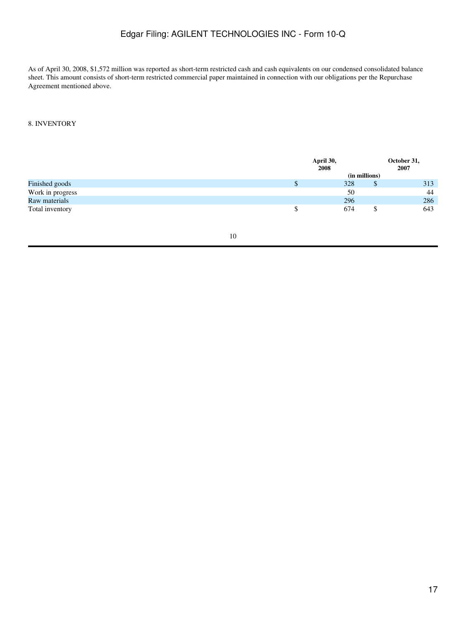As of April 30, 2008, \$1,572 million was reported as short-term restricted cash and cash equivalents on our condensed consolidated balance sheet. This amount consists of short-term restricted commercial paper maintained in connection with our obligations per the Repurchase Agreement mentioned above.

### 8. INVENTORY

|                  | April 30,<br>2008 | October 31,<br>2007 |  |
|------------------|-------------------|---------------------|--|
|                  | (in millions)     |                     |  |
| Finished goods   | 328               | 313<br>D            |  |
| Work in progress | 50                | 44                  |  |
| Raw materials    | 296               | 286                 |  |
| Total inventory  | 674               | 643                 |  |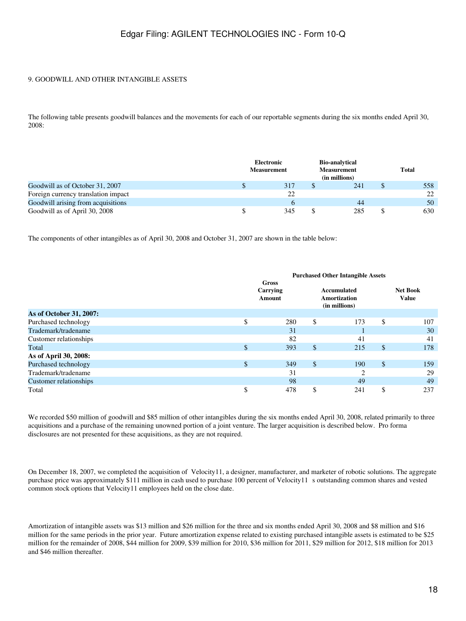### 9. GOODWILL AND OTHER INTANGIBLE ASSETS

The following table presents goodwill balances and the movements for each of our reportable segments during the six months ended April 30, 2008:

|                                     | Electronic<br><b>Measurement</b> | <b>Bio-analytical</b><br><b>Measurement</b><br>(in millions) | Total |
|-------------------------------------|----------------------------------|--------------------------------------------------------------|-------|
| Goodwill as of October 31, 2007     | 317                              | 241                                                          | 558   |
| Foreign currency translation impact | 22                               |                                                              | 22    |
| Goodwill arising from acquisitions  | <sub>0</sub>                     | 44                                                           | 50    |
| Goodwill as of April 30, 2008       | 345                              | \$<br>285                                                    | 630   |

The components of other intangibles as of April 30, 2008 and October 31, 2007 are shown in the table below:

|                         | <b>Purchased Other Intangible Assets</b> |                                    |                                              |     |    |                                 |  |  |  |
|-------------------------|------------------------------------------|------------------------------------|----------------------------------------------|-----|----|---------------------------------|--|--|--|
|                         |                                          | Gross<br>Carrying<br><b>Amount</b> | Accumulated<br>Amortization<br>(in millions) |     |    | <b>Net Book</b><br><b>Value</b> |  |  |  |
| As of October 31, 2007: |                                          |                                    |                                              |     |    |                                 |  |  |  |
| Purchased technology    | \$                                       | 280                                | \$                                           | 173 | \$ | 107                             |  |  |  |
| Trademark/tradename     |                                          | 31                                 |                                              |     |    | 30                              |  |  |  |
| Customer relationships  |                                          | 82                                 |                                              | 41  |    | 41                              |  |  |  |
| Total                   | \$                                       | 393                                | $\boldsymbol{\mathsf{S}}$                    | 215 | \$ | 178                             |  |  |  |
| As of April 30, 2008:   |                                          |                                    |                                              |     |    |                                 |  |  |  |
| Purchased technology    | \$                                       | 349                                | $\mathcal{S}$                                | 190 | \$ | 159                             |  |  |  |
| Trademark/tradename     |                                          | 31                                 |                                              | ◠   |    | 29                              |  |  |  |
| Customer relationships  |                                          | 98                                 |                                              | 49  |    | 49                              |  |  |  |
| Total                   | \$                                       | 478                                | \$                                           | 241 | \$ | 237                             |  |  |  |

We recorded \$50 million of goodwill and \$85 million of other intangibles during the six months ended April 30, 2008, related primarily to three acquisitions and a purchase of the remaining unowned portion of a joint venture. The larger acquisition is described below. Pro forma disclosures are not presented for these acquisitions, as they are not required.

On December 18, 2007, we completed the acquisition of Velocity11, a designer, manufacturer, and marketer of robotic solutions. The aggregate purchase price was approximately \$111 million in cash used to purchase 100 percent of Velocity11 s outstanding common shares and vested common stock options that Velocity11 employees held on the close date.

Amortization of intangible assets was \$13 million and \$26 million for the three and six months ended April 30, 2008 and \$8 million and \$16 million for the same periods in the prior year. Future amortization expense related to existing purchased intangible assets is estimated to be \$25 million for the remainder of 2008, \$44 million for 2009, \$39 million for 2010, \$36 million for 2011, \$29 million for 2012, \$18 million for 2013 and \$46 million thereafter.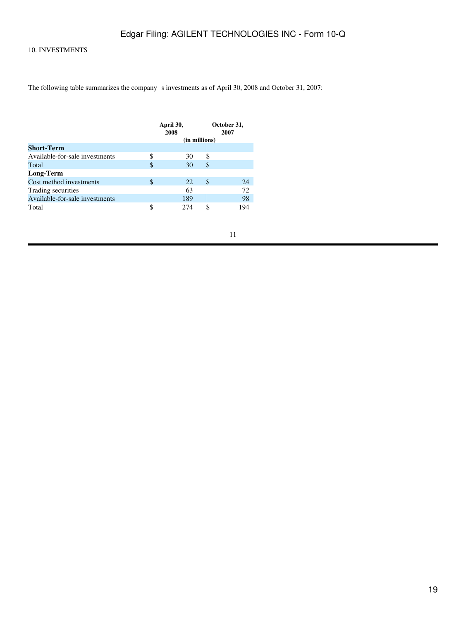### 10. INVESTMENTS

The following table summarizes the company s investments as of April 30, 2008 and October 31, 2007:

|                                |               | April 30,<br>2008 |               | October 31,<br>2007 |  |  |  |
|--------------------------------|---------------|-------------------|---------------|---------------------|--|--|--|
|                                | (in millions) |                   |               |                     |  |  |  |
| <b>Short-Term</b>              |               |                   |               |                     |  |  |  |
| Available-for-sale investments | S             | 30                | S             |                     |  |  |  |
| Total                          | \$            | 30                | S             |                     |  |  |  |
| Long-Term                      |               |                   |               |                     |  |  |  |
| Cost method investments        | \$            | 22                | <sup>\$</sup> | 24                  |  |  |  |
| Trading securities             |               | 63                |               | 72                  |  |  |  |
| Available-for-sale investments |               | 189               |               | 98                  |  |  |  |
| Total                          | S             | 274               | \$            | 194                 |  |  |  |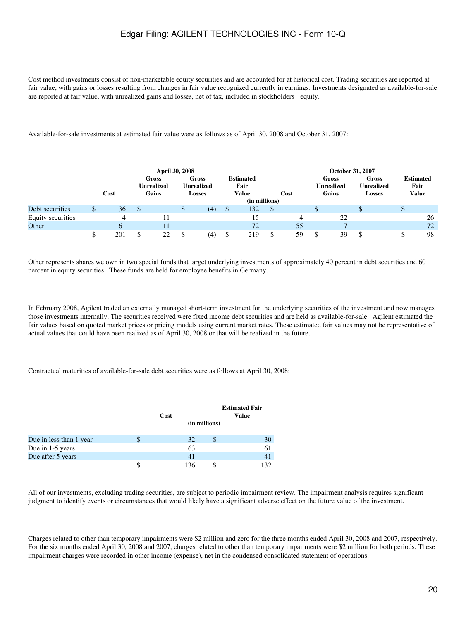Cost method investments consist of non-marketable equity securities and are accounted for at historical cost. Trading securities are reported at fair value, with gains or losses resulting from changes in fair value recognized currently in earnings. Investments designated as available-for-sale are reported at fair value, with unrealized gains and losses, net of tax, included in stockholders equity.

Available-for-sale investments at estimated fair value were as follows as of April 30, 2008 and October 31, 2007:

|                   |      |     | <b>April 30, 2008</b>               |   |                                             |                                          |      | October 31, 2007             |                                             |    |                                          |
|-------------------|------|-----|-------------------------------------|---|---------------------------------------------|------------------------------------------|------|------------------------------|---------------------------------------------|----|------------------------------------------|
|                   | Cost |     | Gross<br><b>Unrealized</b><br>Gains |   | Gross<br><b>Unrealized</b><br><b>Losses</b> | <b>Estimated</b><br>Fair<br><b>Value</b> | Cost | Gross<br>Unrealized<br>Gains | Gross<br><b>Unrealized</b><br><b>Losses</b> |    | <b>Estimated</b><br>Fair<br><b>Value</b> |
|                   |      |     |                                     |   |                                             | (in millions)                            |      |                              |                                             |    |                                          |
| Debt securities   | 136  | \$. |                                     | D | (4)                                         | \$<br>132                                |      |                              |                                             | ۰D |                                          |
| Equity securities | 4    |     |                                     |   |                                             | 15                                       | 4    | 22                           |                                             |    | 26                                       |
| Other             | 61   |     | 11                                  |   |                                             | 72                                       | 55   | 17                           |                                             |    | 72                                       |
|                   | 201  | \$  | 22                                  |   | (4)                                         | 219                                      | 59   | 39                           |                                             |    | 98                                       |

Other represents shares we own in two special funds that target underlying investments of approximately 40 percent in debt securities and 60 percent in equity securities. These funds are held for employee benefits in Germany.

In February 2008, Agilent traded an externally managed short-term investment for the underlying securities of the investment and now manages those investments internally. The securities received were fixed income debt securities and are held as available-for-sale. Agilent estimated the fair values based on quoted market prices or pricing models using current market rates. These estimated fair values may not be representative of actual values that could have been realized as of April 30, 2008 or that will be realized in the future.

Contractual maturities of available-for-sale debt securities were as follows at April 30, 2008:

|                         | Cost |     | (in millions) | <b>Estimated Fair</b><br><b>Value</b> |
|-------------------------|------|-----|---------------|---------------------------------------|
| Due in less than 1 year |      | 32  |               | 30                                    |
| Due in 1-5 years        |      | 63  |               | 61                                    |
| Due after 5 years       |      | 41  |               | 41                                    |
|                         |      | 136 |               | 132                                   |

All of our investments, excluding trading securities, are subject to periodic impairment review. The impairment analysis requires significant judgment to identify events or circumstances that would likely have a significant adverse effect on the future value of the investment.

Charges related to other than temporary impairments were \$2 million and zero for the three months ended April 30, 2008 and 2007, respectively. For the six months ended April 30, 2008 and 2007, charges related to other than temporary impairments were \$2 million for both periods. These impairment charges were recorded in other income (expense), net in the condensed consolidated statement of operations.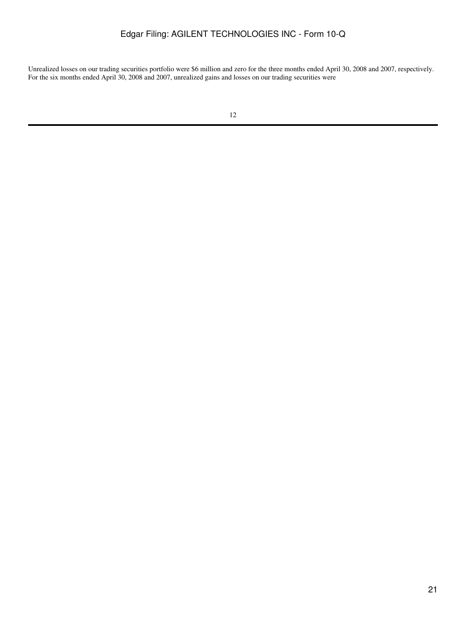Unrealized losses on our trading securities portfolio were \$6 million and zero for the three months ended April 30, 2008 and 2007, respectively. For the six months ended April 30, 2008 and 2007, unrealized gains and losses on our trading securities were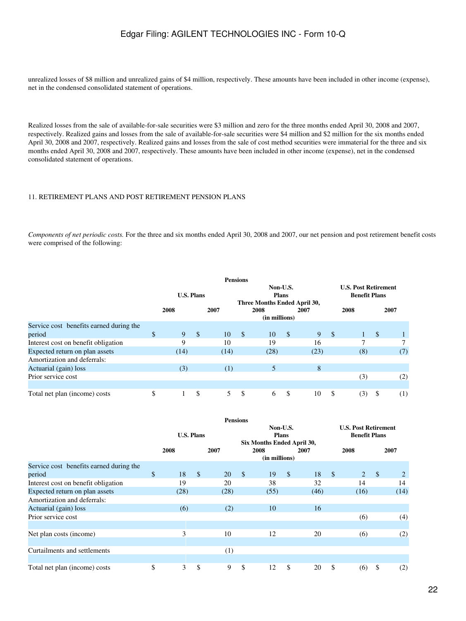unrealized losses of \$8 million and unrealized gains of \$4 million, respectively. These amounts have been included in other income (expense), net in the condensed consolidated statement of operations.

Realized losses from the sale of available-for-sale securities were \$3 million and zero for the three months ended April 30, 2008 and 2007, respectively. Realized gains and losses from the sale of available-for-sale securities were \$4 million and \$2 million for the six months ended April 30, 2008 and 2007, respectively. Realized gains and losses from the sale of cost method securities were immaterial for the three and six months ended April 30, 2008 and 2007, respectively. These amounts have been included in other income (expense), net in the condensed consolidated statement of operations.

#### 11. RETIREMENT PLANS AND POST RETIREMENT PENSION PLANS

*Components of net periodic costs.* For the three and six months ended April 30, 2008 and 2007, our net pension and post retirement benefit costs were comprised of the following:

|                                         |                   |               |      | <b>Pensions</b> |                                                          |              |      |              |                                                     |               |      |
|-----------------------------------------|-------------------|---------------|------|-----------------|----------------------------------------------------------|--------------|------|--------------|-----------------------------------------------------|---------------|------|
|                                         | <b>U.S. Plans</b> |               |      |                 | Non-U.S.<br><b>Plans</b><br>Three Months Ended April 30, |              |      |              | <b>U.S. Post Retirement</b><br><b>Benefit Plans</b> |               |      |
|                                         | 2008              |               | 2007 |                 | 2008                                                     |              | 2007 |              | 2008                                                |               | 2007 |
|                                         |                   |               |      |                 | (in millions)                                            |              |      |              |                                                     |               |      |
| Service cost benefits earned during the |                   |               |      |                 |                                                          |              |      |              |                                                     |               |      |
| period                                  | \$<br>9           | $\mathcal{S}$ | 10   | $\mathcal{S}$   | 10                                                       | $\mathbb{S}$ | 9    | $\mathbb{S}$ |                                                     | <sup>\$</sup> |      |
| Interest cost on benefit obligation     | 9                 |               | 10   |                 | 19                                                       |              | 16   |              | 7                                                   |               | 7    |
| Expected return on plan assets          | (14)              |               | (14) |                 | (28)                                                     |              | (23) |              | (8)                                                 |               | (7)  |
| Amortization and deferrals:             |                   |               |      |                 |                                                          |              |      |              |                                                     |               |      |
| Actuarial (gain) loss                   | (3)               |               | (1)  |                 | 5                                                        |              | 8    |              |                                                     |               |      |
| Prior service cost                      |                   |               |      |                 |                                                          |              |      |              | (3)                                                 |               | (2)  |
|                                         |                   |               |      |                 |                                                          |              |      |              |                                                     |               |      |
| Total net plan (income) costs           | \$                | \$            | 5    | \$              | 6                                                        | \$           | 10   | \$           | (3)                                                 | S             | (1)  |

|                                         |                   |      |               | <b>Pensions</b> |                                                        |                       |              |      |               |                                                     |               |      |  |
|-----------------------------------------|-------------------|------|---------------|-----------------|--------------------------------------------------------|-----------------------|--------------|------|---------------|-----------------------------------------------------|---------------|------|--|
|                                         | <b>U.S. Plans</b> |      |               |                 | Non-U.S.<br><b>Plans</b><br>Six Months Ended April 30, |                       |              |      |               | <b>U.S. Post Retirement</b><br><b>Benefit Plans</b> |               |      |  |
|                                         |                   | 2008 |               | 2007            |                                                        | 2008<br>(in millions) |              | 2007 |               | 2008                                                |               | 2007 |  |
| Service cost benefits earned during the |                   |      |               |                 |                                                        |                       |              |      |               |                                                     |               |      |  |
| period                                  | \$                | 18   | $\mathcal{S}$ | 20              | $\mathcal{S}$                                          | 19                    | $\mathbb{S}$ | 18   | $\mathcal{S}$ | 2                                                   | $\mathcal{S}$ | 2    |  |
| Interest cost on benefit obligation     |                   | 19   |               | 20              |                                                        | 38                    |              | 32   |               | 14                                                  |               | 14   |  |
| Expected return on plan assets          |                   | (28) |               | (28)            |                                                        | (55)                  |              | (46) |               | (16)                                                |               | (14) |  |
| Amortization and deferrals:             |                   |      |               |                 |                                                        |                       |              |      |               |                                                     |               |      |  |
| Actuarial (gain) loss                   |                   | (6)  |               | (2)             |                                                        | 10                    |              | 16   |               |                                                     |               |      |  |
| Prior service cost                      |                   |      |               |                 |                                                        |                       |              |      |               | (6)                                                 |               | (4)  |  |
|                                         |                   |      |               |                 |                                                        |                       |              |      |               |                                                     |               |      |  |
| Net plan costs (income)                 |                   | 3    |               | 10              |                                                        | 12                    |              | 20   |               | (6)                                                 |               | (2)  |  |
|                                         |                   |      |               |                 |                                                        |                       |              |      |               |                                                     |               |      |  |
| Curtailments and settlements            |                   |      |               | (1)             |                                                        |                       |              |      |               |                                                     |               |      |  |
|                                         |                   |      |               |                 |                                                        |                       |              |      |               |                                                     |               |      |  |
| Total net plan (income) costs           | \$                | 3    | \$            | 9               | \$                                                     | 12                    | \$           | 20   | \$            | (6)                                                 | \$            | (2)  |  |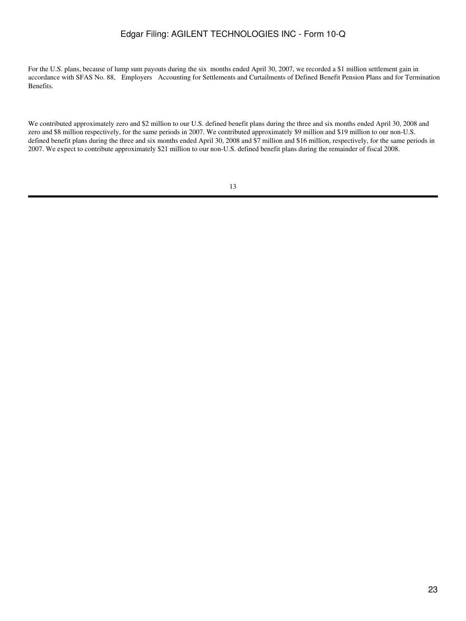For the U.S. plans, because of lump sum payouts during the six months ended April 30, 2007, we recorded a \$1 million settlement gain in accordance with SFAS No. 88, Employers Accounting for Settlements and Curtailments of Defined Benefit Pension Plans and for Termination Benefits.

We contributed approximately zero and \$2 million to our U.S. defined benefit plans during the three and six months ended April 30, 2008 and zero and \$8 million respectively, for the same periods in 2007. We contributed approximately \$9 million and \$19 million to our non-U.S. defined benefit plans during the three and six months ended April 30, 2008 and \$7 million and \$16 million, respectively, for the same periods in 2007. We expect to contribute approximately \$21 million to our non-U.S. defined benefit plans during the remainder of fiscal 2008.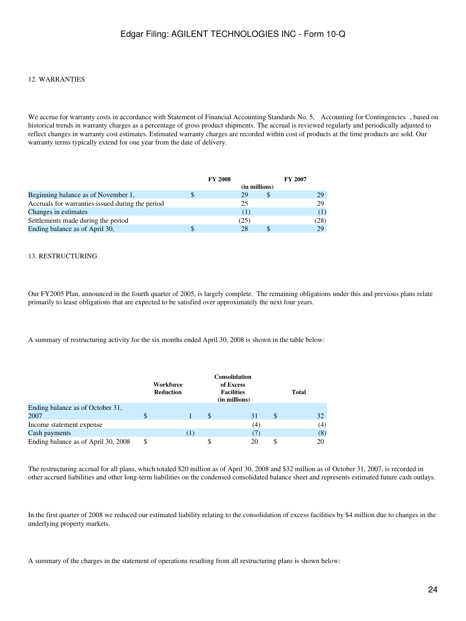### 12. WARRANTIES

We accrue for warranty costs in accordance with Statement of Financial Accounting Standards No. 5, Accounting for Contingencies, based on historical trends in warranty charges as a percentage of gross product shipments. The accrual is reviewed regularly and periodically adjusted to reflect changes in warranty cost estimates. Estimated warranty charges are recorded within cost of products at the time products are sold. Our warranty terms typically extend for one year from the date of delivery.

|                                                  | <b>FY 2008</b> | <b>FY 2007</b> |      |
|--------------------------------------------------|----------------|----------------|------|
|                                                  | (in millions)  |                |      |
| Beginning balance as of November 1,              | 29             |                | 29   |
| Accruals for warranties issued during the period | 25             |                | 29   |
| Changes in estimates                             |                |                |      |
| Settlements made during the period               | (25)           |                | (28) |
| Ending balance as of April 30,                   | 28             |                | 29   |

#### 13. RESTRUCTURING

Our FY2005 Plan, announced in the fourth quarter of 2005, is largely complete. The remaining obligations under this and previous plans relate primarily to lease obligations that are expected to be satisfied over approximately the next four years.

A summary of restructuring activity for the six months ended April 30, 2008 is shown in the table below:

|                                     |    | Workforce<br>Reduction |     |   | <b>Consolidation</b><br>of Excess<br><b>Facilities</b><br>(in millions) |                              |   | <b>Total</b> |     |
|-------------------------------------|----|------------------------|-----|---|-------------------------------------------------------------------------|------------------------------|---|--------------|-----|
| Ending balance as of October 31,    |    |                        |     |   |                                                                         |                              |   |              |     |
| 2007                                | S  |                        |     | S |                                                                         | 31                           | S |              | 32  |
| Income statement expense            |    |                        |     |   |                                                                         | (4)                          |   |              | (4) |
| Cash payments                       |    |                        | (1) |   |                                                                         | $\left( \frac{1}{2} \right)$ |   |              | (8) |
| Ending balance as of April 30, 2008 | \$ |                        |     |   |                                                                         | 20                           | S |              | 20  |

The restructuring accrual for all plans, which totaled \$20 million as of April 30, 2008 and \$32 million as of October 31, 2007, is recorded in other accrued liabilities and other long-term liabilities on the condensed consolidated balance sheet and represents estimated future cash outlays.

In the first quarter of 2008 we reduced our estimated liability relating to the consolidation of excess facilities by \$4 million due to changes in the underlying property markets.

A summary of the charges in the statement of operations resulting from all restructuring plans is shown below: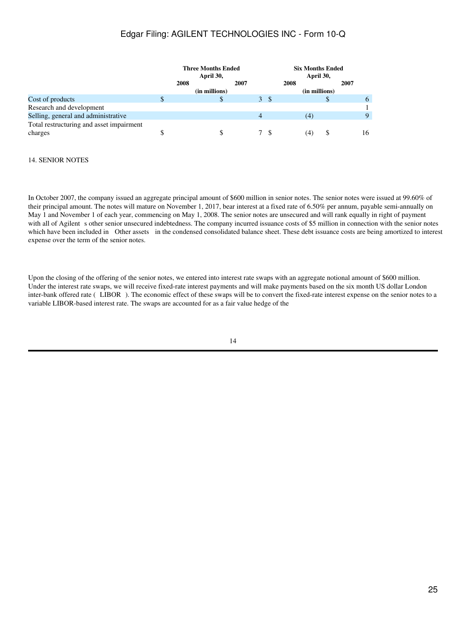|                                          |              | <b>Three Months Ended</b><br>April 30, |   |    | <b>Six Months Ended</b><br>April 30, |      |
|------------------------------------------|--------------|----------------------------------------|---|----|--------------------------------------|------|
|                                          | 2008<br>2007 |                                        |   |    | 2008                                 | 2007 |
|                                          |              | (in millions)                          |   |    | (in millions)                        |      |
| Cost of products                         |              | S                                      |   | 3S |                                      | 6    |
| Research and development                 |              |                                        |   |    |                                      |      |
| Selling, general and administrative      |              |                                        | 4 |    | (4)                                  | 9    |
| Total restructuring and asset impairment |              |                                        |   |    |                                      |      |
| charges                                  |              |                                        |   |    | (4)                                  | 16   |

### 14. SENIOR NOTES

In October 2007, the company issued an aggregate principal amount of \$600 million in senior notes. The senior notes were issued at 99.60% of their principal amount. The notes will mature on November 1, 2017, bear interest at a fixed rate of 6.50% per annum, payable semi-annually on May 1 and November 1 of each year, commencing on May 1, 2008. The senior notes are unsecured and will rank equally in right of payment with all of Agilent s other senior unsecured indebtedness. The company incurred issuance costs of \$5 million in connection with the senior notes which have been included in Other assets in the condensed consolidated balance sheet. These debt issuance costs are being amortized to interest expense over the term of the senior notes.

Upon the closing of the offering of the senior notes, we entered into interest rate swaps with an aggregate notional amount of \$600 million. Under the interest rate swaps, we will receive fixed-rate interest payments and will make payments based on the six month US dollar London inter-bank offered rate (LIBOR). The economic effect of these swaps will be to convert the fixed-rate interest expense on the senior notes to a variable LIBOR-based interest rate. The swaps are accounted for as a fair value hedge of the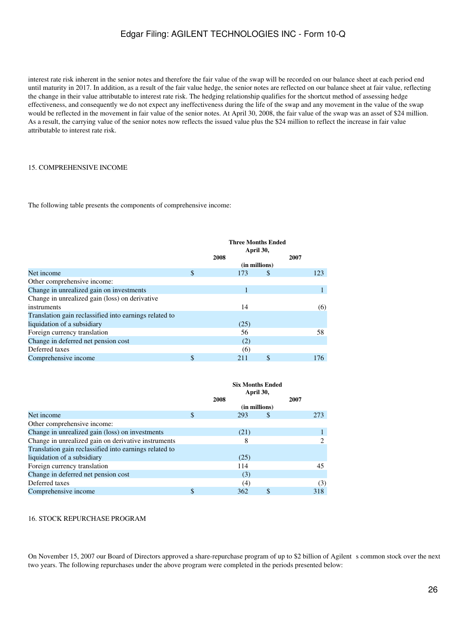interest rate risk inherent in the senior notes and therefore the fair value of the swap will be recorded on our balance sheet at each period end until maturity in 2017. In addition, as a result of the fair value hedge, the senior notes are reflected on our balance sheet at fair value, reflecting the change in their value attributable to interest rate risk. The hedging relationship qualifies for the shortcut method of assessing hedge effectiveness, and consequently we do not expect any ineffectiveness during the life of the swap and any movement in the value of the swap would be reflected in the movement in fair value of the senior notes. At April 30, 2008, the fair value of the swap was an asset of \$24 million. As a result, the carrying value of the senior notes now reflects the issued value plus the \$24 million to reflect the increase in fair value attributable to interest rate risk.

#### 15. COMPREHENSIVE INCOME

The following table presents the components of comprehensive income:

|                                                        |              | <b>Three Months Ended</b><br>April 30, |    |      |     |  |  |  |  |
|--------------------------------------------------------|--------------|----------------------------------------|----|------|-----|--|--|--|--|
|                                                        |              | 2008                                   |    | 2007 |     |  |  |  |  |
|                                                        |              | (in millions)                          |    |      |     |  |  |  |  |
| Net income                                             | $\mathbb{S}$ | 173                                    | S  |      | 123 |  |  |  |  |
| Other comprehensive income:                            |              |                                        |    |      |     |  |  |  |  |
| Change in unrealized gain on investments               |              |                                        |    |      |     |  |  |  |  |
| Change in unrealized gain (loss) on derivative         |              |                                        |    |      |     |  |  |  |  |
| instruments                                            |              | 14                                     |    |      | (6) |  |  |  |  |
| Translation gain reclassified into earnings related to |              |                                        |    |      |     |  |  |  |  |
| liquidation of a subsidiary                            |              | (25)                                   |    |      |     |  |  |  |  |
| Foreign currency translation                           |              | 56                                     |    |      | 58  |  |  |  |  |
| Change in deferred net pension cost                    |              | (2)                                    |    |      |     |  |  |  |  |
| Deferred taxes                                         |              | (6)                                    |    |      |     |  |  |  |  |
| Comprehensive income                                   | \$           | 211                                    | \$ |      | 176 |  |  |  |  |

|                                                        | <b>Six Months Ended</b><br>April 30, |      |               |      |     |  |  |
|--------------------------------------------------------|--------------------------------------|------|---------------|------|-----|--|--|
|                                                        | 2008                                 |      |               | 2007 |     |  |  |
|                                                        |                                      |      | (in millions) |      |     |  |  |
| Net income                                             |                                      | 293  | S             |      | 273 |  |  |
| Other comprehensive income:                            |                                      |      |               |      |     |  |  |
| Change in unrealized gain (loss) on investments        |                                      | (21) |               |      |     |  |  |
| Change in unrealized gain on derivative instruments    |                                      | 8    |               |      | 2   |  |  |
| Translation gain reclassified into earnings related to |                                      |      |               |      |     |  |  |
| liquidation of a subsidiary                            |                                      | (25) |               |      |     |  |  |
| Foreign currency translation                           |                                      | 114  |               |      | 45  |  |  |
| Change in deferred net pension cost                    |                                      | (3)  |               |      |     |  |  |
| Deferred taxes                                         |                                      | (4)  |               |      | (3) |  |  |
| Comprehensive income                                   |                                      | 362  | \$            |      | 318 |  |  |

### 16. STOCK REPURCHASE PROGRAM

On November 15, 2007 our Board of Directors approved a share-repurchase program of up to \$2 billion of Agilent s common stock over the next two years. The following repurchases under the above program were completed in the periods presented below: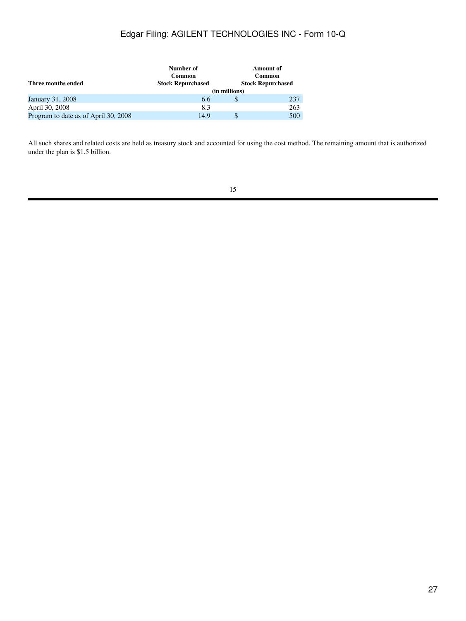|                                      | Number of                |               | <b>Amount of</b>         |  |  |
|--------------------------------------|--------------------------|---------------|--------------------------|--|--|
|                                      | Common                   | Common        |                          |  |  |
| Three months ended                   | <b>Stock Repurchased</b> |               | <b>Stock Repurchased</b> |  |  |
|                                      |                          | (in millions) |                          |  |  |
| January 31, 2008                     | 6.6                      |               | 237                      |  |  |
| April 30, 2008                       | 8.3                      |               | 263                      |  |  |
| Program to date as of April 30, 2008 | 14.9                     |               | 500                      |  |  |

All such shares and related costs are held as treasury stock and accounted for using the cost method. The remaining amount that is authorized under the plan is \$1.5 billion.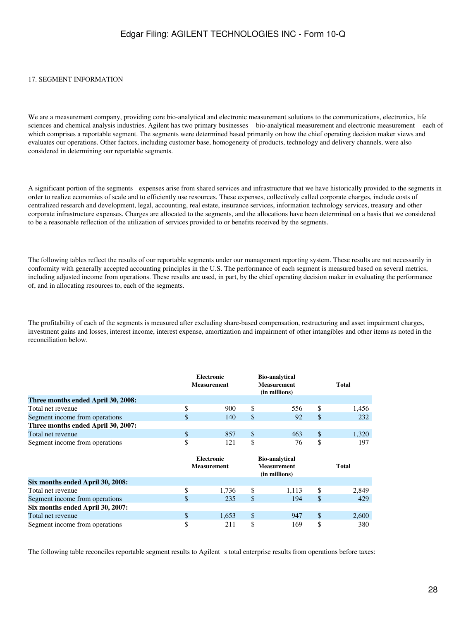#### 17. SEGMENT INFORMATION

We are a measurement company, providing core bio-analytical and electronic measurement solutions to the communications, electronics, life sciences and chemical analysis industries. Agilent has two primary businesses bio-analytical measurement and electronic measurement each of which comprises a reportable segment. The segments were determined based primarily on how the chief operating decision maker views and evaluates our operations. Other factors, including customer base, homogeneity of products, technology and delivery channels, were also considered in determining our reportable segments.

A significant portion of the segments expenses arise from shared services and infrastructure that we have historically provided to the segments in order to realize economies of scale and to efficiently use resources. These expenses, collectively called corporate charges, include costs of centralized research and development, legal, accounting, real estate, insurance services, information technology services, treasury and other corporate infrastructure expenses. Charges are allocated to the segments, and the allocations have been determined on a basis that we considered to be a reasonable reflection of the utilization of services provided to or benefits received by the segments.

The following tables reflect the results of our reportable segments under our management reporting system. These results are not necessarily in conformity with generally accepted accounting principles in the U.S. The performance of each segment is measured based on several metrics, including adjusted income from operations. These results are used, in part, by the chief operating decision maker in evaluating the performance of, and in allocating resources to, each of the segments.

The profitability of each of the segments is measured after excluding share-based compensation, restructuring and asset impairment charges, investment gains and losses, interest income, interest expense, amortization and impairment of other intangibles and other items as noted in the reconciliation below.

|                                    |    | <b>Electronic</b><br><b>Measurement</b> |    | <b>Bio-analytical</b><br><b>Measurement</b><br>(in millions) |     | <b>Total</b> |
|------------------------------------|----|-----------------------------------------|----|--------------------------------------------------------------|-----|--------------|
| Three months ended April 30, 2008: |    |                                         |    |                                                              |     |              |
| Total net revenue                  | \$ | 900                                     | \$ | 556                                                          | \$. | 1.456        |
| Segment income from operations     | \$ | 140                                     | \$ | 92                                                           | S   | 232          |
| Three months ended April 30, 2007: |    |                                         |    |                                                              |     |              |
| Total net revenue                  |    | 857                                     | S  | 463                                                          | S   | 1,320        |
| Segment income from operations     | Φ  | 121                                     |    | 76                                                           |     | 197          |

|                                  | <b>Bio-analytical</b><br><b>Electronic</b><br><b>Measurement</b><br><b>Measurement</b><br>(in millions) |   |       |   | Total |
|----------------------------------|---------------------------------------------------------------------------------------------------------|---|-------|---|-------|
| Six months ended April 30, 2008: |                                                                                                         |   |       |   |       |
| Total net revenue                | \$<br>1.736                                                                                             | S | 1.113 | S | 2,849 |
| Segment income from operations   | \$<br>235                                                                                               | S | 194   |   | 429   |
| Six months ended April 30, 2007: |                                                                                                         |   |       |   |       |
| Total net revenue                | \$<br>1.653                                                                                             | S | 947   | S | 2,600 |
| Segment income from operations   | \$<br>211                                                                                               |   | 169   |   | 380   |

The following table reconciles reportable segment results to Agilent s total enterprise results from operations before taxes: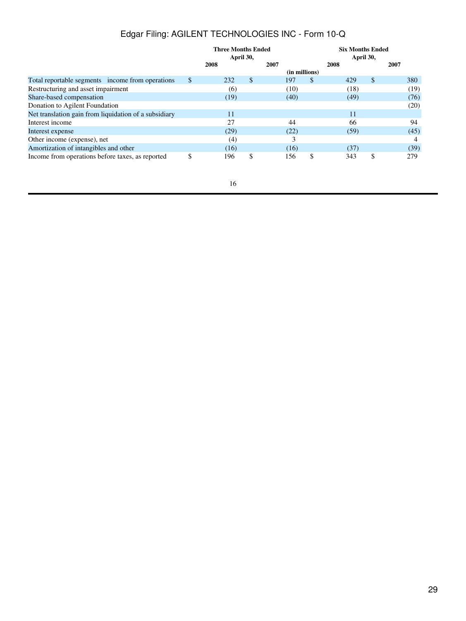|                                                       |               | <b>Three Months Ended</b><br>April 30, |    |      |               |    | <b>Six Months Ended</b><br>April 30, |    |      |  |
|-------------------------------------------------------|---------------|----------------------------------------|----|------|---------------|----|--------------------------------------|----|------|--|
|                                                       |               | 2008                                   |    | 2007 |               |    | 2008                                 |    | 2007 |  |
|                                                       |               |                                        |    |      | (in millions) |    |                                      |    |      |  |
| Total reportable segments income from operations      | $\mathcal{S}$ | 232                                    | \$ |      | 197           | S  | 429                                  | \$ | 380  |  |
| Restructuring and asset impairment                    |               | (6)                                    |    |      | (10)          |    | (18)                                 |    | (19) |  |
| Share-based compensation                              |               | (19)                                   |    |      | (40)          |    | (49)                                 |    | (76) |  |
| Donation to Agilent Foundation                        |               |                                        |    |      |               |    |                                      |    | (20) |  |
| Net translation gain from liquidation of a subsidiary |               | 11                                     |    |      |               |    | 11                                   |    |      |  |
| Interest income                                       |               | 27                                     |    |      | 44            |    | 66                                   |    | 94   |  |
| Interest expense                                      |               | (29)                                   |    |      | (22)          |    | (59)                                 |    | (45) |  |
| Other income (expense), net                           |               | (4)                                    |    |      | 3             |    |                                      |    | 4    |  |
| Amortization of intangibles and other                 |               | (16)                                   |    |      | (16)          |    | (37)                                 |    | (39) |  |
| Income from operations before taxes, as reported      | \$            | 196                                    | \$ |      | 156           | \$ | 343                                  | \$ | 279  |  |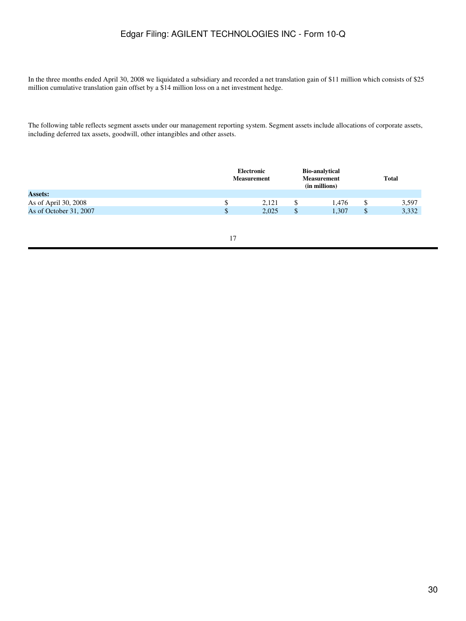In the three months ended April 30, 2008 we liquidated a subsidiary and recorded a net translation gain of \$11 million which consists of \$25 million cumulative translation gain offset by a \$14 million loss on a net investment hedge.

The following table reflects segment assets under our management reporting system. Segment assets include allocations of corporate assets, including deferred tax assets, goodwill, other intangibles and other assets.

|                        | Electronic<br><b>Measurement</b> | <b>Bio-analytical</b><br><b>Measurement</b><br>(in millions) |       | <b>Total</b> |       |
|------------------------|----------------------------------|--------------------------------------------------------------|-------|--------------|-------|
| <b>Assets:</b>         |                                  |                                                              |       |              |       |
| As of April 30, 2008   | 2.121                            |                                                              | 1.476 |              | 3,597 |
| As of October 31, 2007 | 2,025                            |                                                              | 1,307 | ¢<br>Φ       | 3,332 |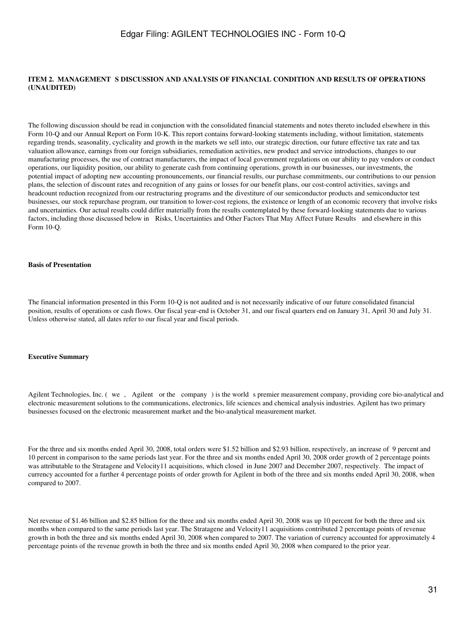### <span id="page-30-0"></span>ITEM 2. MANAGEMENT S DISCUSSION AND ANALYSIS OF FINANCIAL CONDITION AND RESULTS OF OPERATIONS **(UNAUDITED)**

The following discussion should be read in conjunction with the consolidated financial statements and notes thereto included elsewhere in this Form 10-Q and our Annual Report on Form 10-K. This report contains forward-looking statements including, without limitation, statements regarding trends, seasonality, cyclicality and growth in the markets we sell into, our strategic direction, our future effective tax rate and tax valuation allowance, earnings from our foreign subsidiaries, remediation activities, new product and service introductions, changes to our manufacturing processes, the use of contract manufacturers, the impact of local government regulations on our ability to pay vendors or conduct operations, our liquidity position, our ability to generate cash from continuing operations, growth in our businesses, our investments, the potential impact of adopting new accounting pronouncements, our financial results, our purchase commitments, our contributions to our pension plans, the selection of discount rates and recognition of any gains or losses for our benefit plans, our cost-control activities, savings and headcount reduction recognized from our restructuring programs and the divestiture of our semiconductor products and semiconductor test businesses, our stock repurchase program, our transition to lower-cost regions, the existence or length of an economic recovery that involve risks and uncertainties. Our actual results could differ materially from the results contemplated by these forward-looking statements due to various factors, including those discussed below in Risks, Uncertainties and Other Factors That May Affect Future Results and elsewhere in this Form 10-Q.

#### **Basis of Presentation**

The financial information presented in this Form 10-Q is not audited and is not necessarily indicative of our future consolidated financial position, results of operations or cash flows. Our fiscal year-end is October 31, and our fiscal quarters end on January 31, April 30 and July 31. Unless otherwise stated, all dates refer to our fiscal year and fiscal periods.

#### **Executive Summary**

Agilent Technologies, Inc. (we, Agilent or the company) is the world s premier measurement company, providing core bio-analytical and electronic measurement solutions to the communications, electronics, life sciences and chemical analysis industries. Agilent has two primary businesses focused on the electronic measurement market and the bio-analytical measurement market.

For the three and six months ended April 30, 2008, total orders were \$1.52 billion and \$2.93 billion, respectively, an increase of 9 percent and 10 percent in comparison to the same periods last year. For the three and six months ended April 30, 2008 order growth of 2 percentage points was attributable to the Stratagene and Velocity11 acquisitions, which closed in June 2007 and December 2007, respectively. The impact of currency accounted for a further 4 percentage points of order growth for Agilent in both of the three and six months ended April 30, 2008, when compared to 2007.

Net revenue of \$1.46 billion and \$2.85 billion for the three and six months ended April 30, 2008 was up 10 percent for both the three and six months when compared to the same periods last year. The Stratagene and Velocity11 acquisitions contributed 2 percentage points of revenue growth in both the three and six months ended April 30, 2008 when compared to 2007. The variation of currency accounted for approximately 4 percentage points of the revenue growth in both the three and six months ended April 30, 2008 when compared to the prior year.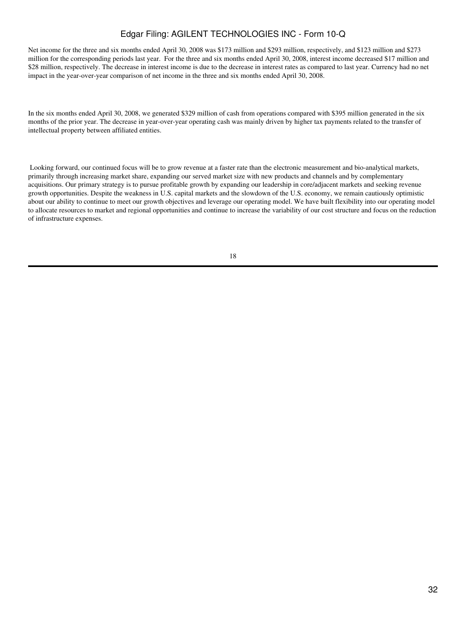Net income for the three and six months ended April 30, 2008 was \$173 million and \$293 million, respectively, and \$123 million and \$273 million for the corresponding periods last year. For the three and six months ended April 30, 2008, interest income decreased \$17 million and \$28 million, respectively. The decrease in interest income is due to the decrease in interest rates as compared to last year. Currency had no net impact in the year-over-year comparison of net income in the three and six months ended April 30, 2008.

In the six months ended April 30, 2008, we generated \$329 million of cash from operations compared with \$395 million generated in the six months of the prior year. The decrease in year-over-year operating cash was mainly driven by higher tax payments related to the transfer of intellectual property between affiliated entities.

 Looking forward, our continued focus will be to grow revenue at a faster rate than the electronic measurement and bio-analytical markets, primarily through increasing market share, expanding our served market size with new products and channels and by complementary acquisitions. Our primary strategy is to pursue profitable growth by expanding our leadership in core/adjacent markets and seeking revenue growth opportunities. Despite the weakness in U.S. capital markets and the slowdown of the U.S. economy, we remain cautiously optimistic about our ability to continue to meet our growth objectives and leverage our operating model. We have built flexibility into our operating model to allocate resources to market and regional opportunities and continue to increase the variability of our cost structure and focus on the reduction of infrastructure expenses.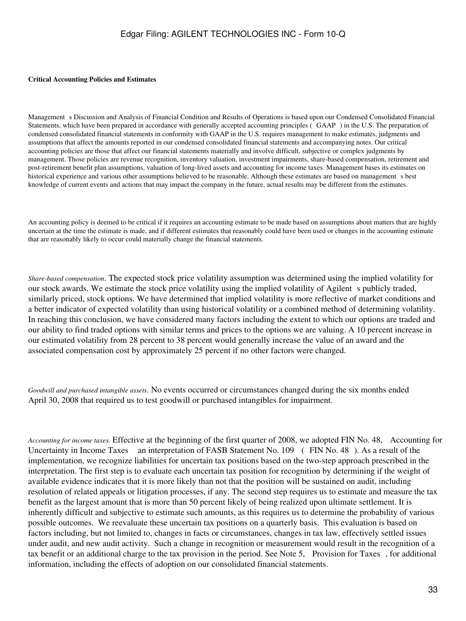#### **Critical Accounting Policies and Estimates**

Managements Discussion and Analysis of Financial Condition and Results of Operations is based upon our Condensed Consolidated Financial Statements, which have been prepared in accordance with generally accepted accounting principles (GAAP) in the U.S. The preparation of condensed consolidated financial statements in conformity with GAAP in the U.S. requires management to make estimates, judgments and assumptions that affect the amounts reported in our condensed consolidated financial statements and accompanying notes. Our critical accounting policies are those that affect our financial statements materially and involve difficult, subjective or complex judgments by management. Those policies are revenue recognition, inventory valuation, investment impairments, share-based compensation, retirement and post-retirement benefit plan assumptions, valuation of long-lived assets and accounting for income taxes. Management bases its estimates on historical experience and various other assumptions believed to be reasonable. Although these estimates are based on management s best knowledge of current events and actions that may impact the company in the future, actual results may be different from the estimates.

An accounting policy is deemed to be critical if it requires an accounting estimate to be made based on assumptions about matters that are highly uncertain at the time the estimate is made, and if different estimates that reasonably could have been used or changes in the accounting estimate that are reasonably likely to occur could materially change the financial statements.

*Share-based compensation*. The expected stock price volatility assumption was determined using the implied volatility for our stock awards. We estimate the stock price volatility using the implied volatility of Agilent s publicly traded, similarly priced, stock options. We have determined that implied volatility is more reflective of market conditions and a better indicator of expected volatility than using historical volatility or a combined method of determining volatility. In reaching this conclusion, we have considered many factors including the extent to which our options are traded and our ability to find traded options with similar terms and prices to the options we are valuing. A 10 percent increase in our estimated volatility from 28 percent to 38 percent would generally increase the value of an award and the associated compensation cost by approximately 25 percent if no other factors were changed.

*Goodwill and purchased intangible assets*. No events occurred or circumstances changed during the six months ended April 30, 2008 that required us to test goodwill or purchased intangibles for impairment.

*Accounting for income taxes.* Effective at the beginning of the first quarter of 2008, we adopted FIN No. 48, Accounting for Uncertainty in Income Taxes an interpretation of FASB Statement No. 109 (FIN No. 48). As a result of the implementation, we recognize liabilities for uncertain tax positions based on the two-step approach prescribed in the interpretation. The first step is to evaluate each uncertain tax position for recognition by determining if the weight of available evidence indicates that it is more likely than not that the position will be sustained on audit, including resolution of related appeals or litigation processes, if any. The second step requires us to estimate and measure the tax benefit as the largest amount that is more than 50 percent likely of being realized upon ultimate settlement. It is inherently difficult and subjective to estimate such amounts, as this requires us to determine the probability of various possible outcomes. We reevaluate these uncertain tax positions on a quarterly basis. This evaluation is based on factors including, but not limited to, changes in facts or circumstances, changes in tax law, effectively settled issues under audit, and new audit activity. Such a change in recognition or measurement would result in the recognition of a tax benefit or an additional charge to the tax provision in the period. See Note 5, Provision for Taxes, for additional information, including the effects of adoption on our consolidated financial statements.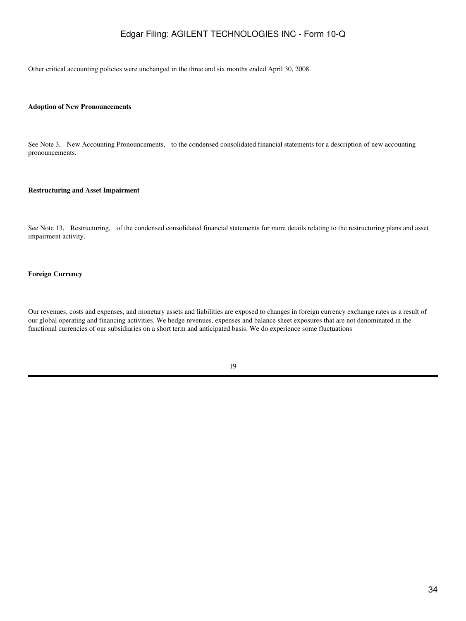Other critical accounting policies were unchanged in the three and six months ended April 30, 2008.

#### **Adoption of New Pronouncements**

See Note 3, New Accounting Pronouncements, to the condensed consolidated financial statements for a description of new accounting pronouncements.

#### **Restructuring and Asset Impairment**

See Note 13, Restructuring, of the condensed consolidated financial statements for more details relating to the restructuring plans and asset impairment activity.

#### **Foreign Currency**

Our revenues, costs and expenses, and monetary assets and liabilities are exposed to changes in foreign currency exchange rates as a result of our global operating and financing activities. We hedge revenues, expenses and balance sheet exposures that are not denominated in the functional currencies of our subsidiaries on a short term and anticipated basis. We do experience some fluctuations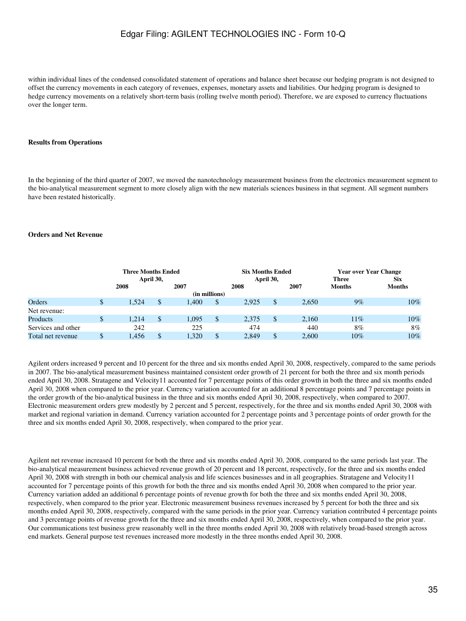within individual lines of the condensed consolidated statement of operations and balance sheet because our hedging program is not designed to offset the currency movements in each category of revenues, expenses, monetary assets and liabilities. Our hedging program is designed to hedge currency movements on a relatively short-term basis (rolling twelve month period). Therefore, we are exposed to currency fluctuations over the longer term.

#### **Results from Operations**

In the beginning of the third quarter of 2007, we moved the nanotechnology measurement business from the electronics measurement segment to the bio-analytical measurement segment to more closely align with the new materials sciences business in that segment. All segment numbers have been restated historically.

#### **Orders and Net Revenue**

|                    | <b>Three Months Ended</b> |       |  |       |              | <b>Six Months Ended</b> |           |       | <b>Year over Year Change</b> |               |  |  |
|--------------------|---------------------------|-------|--|-------|--------------|-------------------------|-----------|-------|------------------------------|---------------|--|--|
|                    | April 30,                 |       |  |       |              |                         | April 30, |       | <b>Three</b>                 | <b>Six</b>    |  |  |
|                    | 2008                      |       |  | 2007  |              | 2008                    |           | 2007  | <b>Months</b>                | <b>Months</b> |  |  |
| (in millions)      |                           |       |  |       |              |                         |           |       |                              |               |  |  |
| Orders             | \$.                       | 1.524 |  | .400  | $\mathbb{S}$ | 2.925                   | \$        | 2.650 | 9%                           | $10\%$        |  |  |
| Net revenue:       |                           |       |  |       |              |                         |           |       |                              |               |  |  |
| Products           | \$                        | 1.214 |  | 1,095 | \$           | 2.375                   | \$        | 2.160 | 11%                          | 10%           |  |  |
| Services and other |                           | 242   |  | 225   |              | 474                     |           | 440   | 8%                           | 8%            |  |  |
| Total net revenue  |                           | .456  |  | .320  | $\mathbb{S}$ | 2.849                   | \$        | 2,600 | 10%                          | 10%           |  |  |

Agilent orders increased 9 percent and 10 percent for the three and six months ended April 30, 2008, respectively, compared to the same periods in 2007. The bio-analytical measurement business maintained consistent order growth of 21 percent for both the three and six month periods ended April 30, 2008. Stratagene and Velocity11 accounted for 7 percentage points of this order growth in both the three and six months ended April 30, 2008 when compared to the prior year. Currency variation accounted for an additional 8 percentage points and 7 percentage points in the order growth of the bio-analytical business in the three and six months ended April 30, 2008, respectively, when compared to 2007. Electronic measurement orders grew modestly by 2 percent and 5 percent, respectively, for the three and six months ended April 30, 2008 with market and regional variation in demand. Currency variation accounted for 2 percentage points and 3 percentage points of order growth for the three and six months ended April 30, 2008, respectively, when compared to the prior year.

Agilent net revenue increased 10 percent for both the three and six months ended April 30, 2008, compared to the same periods last year. The bio-analytical measurement business achieved revenue growth of 20 percent and 18 percent, respectively, for the three and six months ended April 30, 2008 with strength in both our chemical analysis and life sciences businesses and in all geographies. Stratagene and Velocity11 accounted for 7 percentage points of this growth for both the three and six months ended April 30, 2008 when compared to the prior year. Currency variation added an additional 6 percentage points of revenue growth for both the three and six months ended April 30, 2008, respectively, when compared to the prior year. Electronic measurement business revenues increased by 5 percent for both the three and six months ended April 30, 2008, respectively, compared with the same periods in the prior year. Currency variation contributed 4 percentage points and 3 percentage points of revenue growth for the three and six months ended April 30, 2008, respectively, when compared to the prior year. Our communications test business grew reasonably well in the three months ended April 30, 2008 with relatively broad-based strength across end markets. General purpose test revenues increased more modestly in the three months ended April 30, 2008.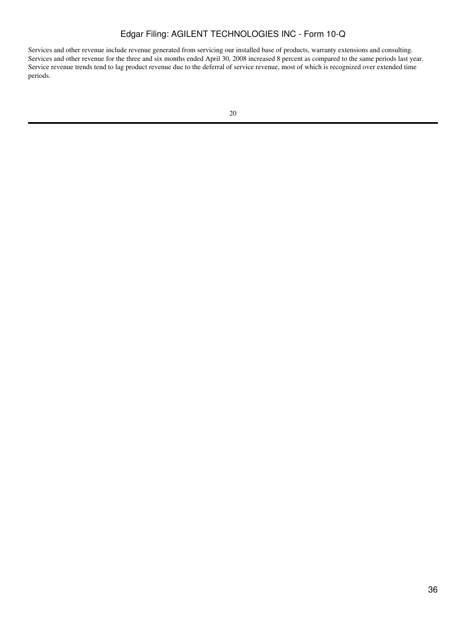Services and other revenue include revenue generated from servicing our installed base of products, warranty extensions and consulting. Services and other revenue for the three and six months ended April 30, 2008 increased 8 percent as compared to the same periods last year. Service revenue trends tend to lag product revenue due to the deferral of service revenue, most of which is recognized over extended time periods.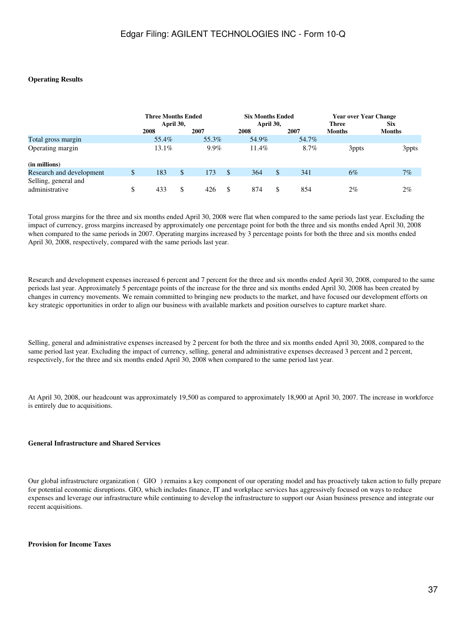### **Operating Results**

|                          |    | <b>Three Months Ended</b><br>April 30, |     |       |    | <b>Six Months Ended</b> |      |       | <b>Year over Year Change</b> |               |
|--------------------------|----|----------------------------------------|-----|-------|----|-------------------------|------|-------|------------------------------|---------------|
|                          |    |                                        |     |       |    | April 30,               |      |       | <b>Three</b>                 | <b>Six</b>    |
|                          |    | 2008                                   |     | 2007  |    | 2008                    | 2007 |       | <b>Months</b>                | <b>Months</b> |
| Total gross margin       |    | 55.4%                                  |     | 55.3% |    | 54.9%                   |      | 54.7% |                              |               |
| Operating margin         |    | $13.1\%$                               |     | 9.9%  |    | 11.4%                   |      | 8.7%  | 3ppts                        | 3ppts         |
| (in millions)            |    |                                        |     |       |    |                         |      |       |                              |               |
| Research and development | \$ | 183                                    | \$  | 173   | S  | 364                     | \$.  | 341   | $6\%$                        | 7%            |
| Selling, general and     |    |                                        |     |       |    |                         |      |       |                              |               |
| administrative           | \$ | 433                                    | \$. | 426   | -S | 874                     | \$.  | 854   | 2%                           | 2%            |

Total gross margins for the three and six months ended April 30, 2008 were flat when compared to the same periods last year. Excluding the impact of currency, gross margins increased by approximately one percentage point for both the three and six months ended April 30, 2008 when compared to the same periods in 2007. Operating margins increased by 3 percentage points for both the three and six months ended April 30, 2008, respectively, compared with the same periods last year.

Research and development expenses increased 6 percent and 7 percent for the three and six months ended April 30, 2008, compared to the same periods last year. Approximately 5 percentage points of the increase for the three and six months ended April 30, 2008 has been created by changes in currency movements. We remain committed to bringing new products to the market, and have focused our development efforts on key strategic opportunities in order to align our business with available markets and position ourselves to capture market share.

Selling, general and administrative expenses increased by 2 percent for both the three and six months ended April 30, 2008, compared to the same period last year. Excluding the impact of currency, selling, general and administrative expenses decreased 3 percent and 2 percent, respectively, for the three and six months ended April 30, 2008 when compared to the same period last year.

At April 30, 2008, our headcount was approximately 19,500 as compared to approximately 18,900 at April 30, 2007. The increase in workforce is entirely due to acquisitions.

### **General Infrastructure and Shared Services**

Our global infrastructure organization (GIO) remains a key component of our operating model and has proactively taken action to fully prepare for potential economic disruptions. GIO, which includes finance, IT and workplace services has aggressively focused on ways to reduce expenses and leverage our infrastructure while continuing to develop the infrastructure to support our Asian business presence and integrate our recent acquisitions.

#### **Provision for Income Taxes**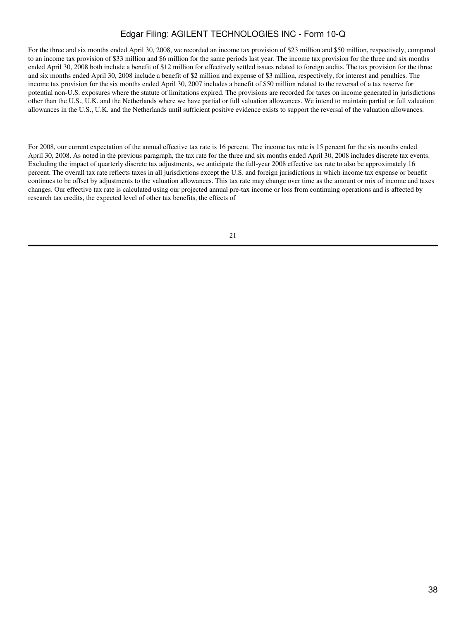For the three and six months ended April 30, 2008, we recorded an income tax provision of \$23 million and \$50 million, respectively, compared to an income tax provision of \$33 million and \$6 million for the same periods last year. The income tax provision for the three and six months ended April 30, 2008 both include a benefit of \$12 million for effectively settled issues related to foreign audits. The tax provision for the three and six months ended April 30, 2008 include a benefit of \$2 million and expense of \$3 million, respectively, for interest and penalties. The income tax provision for the six months ended April 30, 2007 includes a benefit of \$50 million related to the reversal of a tax reserve for potential non-U.S. exposures where the statute of limitations expired. The provisions are recorded for taxes on income generated in jurisdictions other than the U.S., U.K. and the Netherlands where we have partial or full valuation allowances. We intend to maintain partial or full valuation allowances in the U.S., U.K. and the Netherlands until sufficient positive evidence exists to support the reversal of the valuation allowances.

For 2008, our current expectation of the annual effective tax rate is 16 percent. The income tax rate is 15 percent for the six months ended April 30, 2008. As noted in the previous paragraph, the tax rate for the three and six months ended April 30, 2008 includes discrete tax events. Excluding the impact of quarterly discrete tax adjustments, we anticipate the full-year 2008 effective tax rate to also be approximately 16 percent. The overall tax rate reflects taxes in all jurisdictions except the U.S. and foreign jurisdictions in which income tax expense or benefit continues to be offset by adjustments to the valuation allowances. This tax rate may change over time as the amount or mix of income and taxes changes. Our effective tax rate is calculated using our projected annual pre-tax income or loss from continuing operations and is affected by research tax credits, the expected level of other tax benefits, the effects of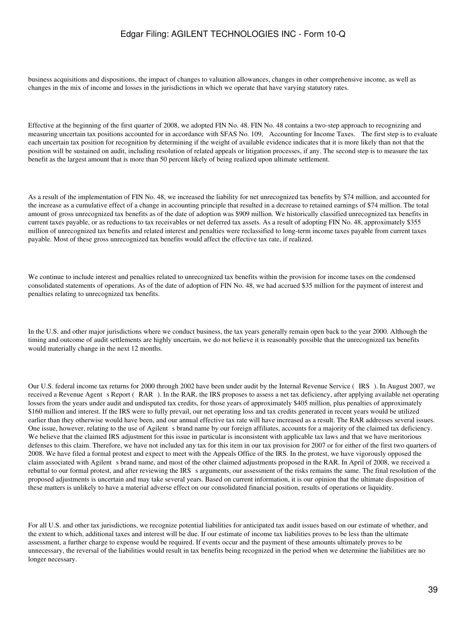business acquisitions and dispositions, the impact of changes to valuation allowances, changes in other comprehensive income, as well as changes in the mix of income and losses in the jurisdictions in which we operate that have varying statutory rates.

Effective at the beginning of the first quarter of 2008, we adopted FIN No. 48. FIN No. 48 contains a two-step approach to recognizing and measuring uncertain tax positions accounted for in accordance with SFAS No. 109, Accounting for Income Taxes. The first step is to evaluate each uncertain tax position for recognition by determining if the weight of available evidence indicates that it is more likely than not that the position will be sustained on audit, including resolution of related appeals or litigation processes, if any. The second step is to measure the tax benefit as the largest amount that is more than 50 percent likely of being realized upon ultimate settlement.

As a result of the implementation of FIN No. 48, we increased the liability for net unrecognized tax benefits by \$74 million, and accounted for the increase as a cumulative effect of a change in accounting principle that resulted in a decrease to retained earnings of \$74 million. The total amount of gross unrecognized tax benefits as of the date of adoption was \$909 million. We historically classified unrecognized tax benefits in current taxes payable, or as reductions to tax receivables or net deferred tax assets. As a result of adopting FIN No. 48, approximately \$355 million of unrecognized tax benefits and related interest and penalties were reclassified to long-term income taxes payable from current taxes payable. Most of these gross unrecognized tax benefits would affect the effective tax rate, if realized.

We continue to include interest and penalties related to unrecognized tax benefits within the provision for income taxes on the condensed consolidated statements of operations. As of the date of adoption of FIN No. 48, we had accrued \$35 million for the payment of interest and penalties relating to unrecognized tax benefits.

In the U.S. and other major jurisdictions where we conduct business, the tax years generally remain open back to the year 2000. Although the timing and outcome of audit settlements are highly uncertain, we do not believe it is reasonably possible that the unrecognized tax benefits would materially change in the next 12 months.

Our U.S. federal income tax returns for 2000 through 2002 have been under audit by the Internal Revenue Service (IRS). In August 2007, we received a Revenue Agent s Report (RAR). In the RAR, the IRS proposes to assess a net tax deficiency, after applying available net operating losses from the years under audit and undisputed tax credits, for those years of approximately \$405 million, plus penalties of approximately \$160 million and interest. If the IRS were to fully prevail, our net operating loss and tax credits generated in recent years would be utilized earlier than they otherwise would have been, and our annual effective tax rate will have increased as a result. The RAR addresses several issues. One issue, however, relating to the use of Agilent s brand name by our foreign affiliates, accounts for a majority of the claimed tax deficiency. We believe that the claimed IRS adjustment for this issue in particular is inconsistent with applicable tax laws and that we have meritorious defenses to this claim. Therefore, we have not included any tax for this item in our tax provision for 2007 or for either of the first two quarters of 2008. We have filed a formal protest and expect to meet with the Appeals Office of the IRS. In the protest, we have vigorously opposed the claim associated with Agilent s brand name, and most of the other claimed adjustments proposed in the RAR. In April of 2008, we received a rebuttal to our formal protest, and after reviewing the IRS s arguments, our assessment of the risks remains the same. The final resolution of the proposed adjustments is uncertain and may take several years. Based on current information, it is our opinion that the ultimate disposition of these matters is unlikely to have a material adverse effect on our consolidated financial position, results of operations or liquidity.

For all U.S. and other tax jurisdictions, we recognize potential liabilities for anticipated tax audit issues based on our estimate of whether, and the extent to which, additional taxes and interest will be due. If our estimate of income tax liabilities proves to be less than the ultimate assessment, a further charge to expense would be required. If events occur and the payment of these amounts ultimately proves to be unnecessary, the reversal of the liabilities would result in tax benefits being recognized in the period when we determine the liabilities are no longer necessary.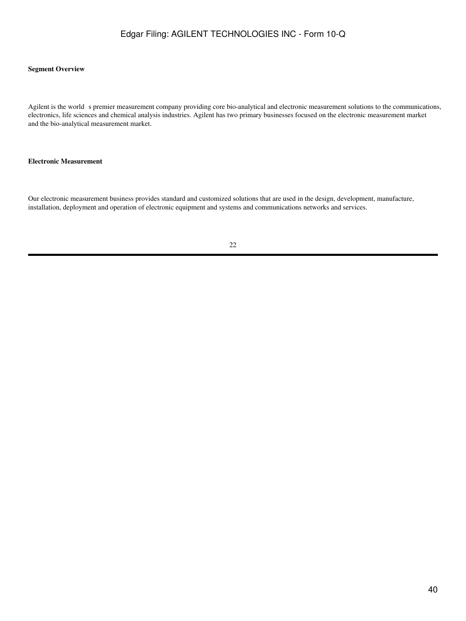### **Segment Overview**

Agilent is the world s premier measurement company providing core bio-analytical and electronic measurement solutions to the communications, electronics, life sciences and chemical analysis industries. Agilent has two primary businesses focused on the electronic measurement market and the bio-analytical measurement market.

#### **Electronic Measurement**

Our electronic measurement business provides standard and customized solutions that are used in the design, development, manufacture, installation, deployment and operation of electronic equipment and systems and communications networks and services.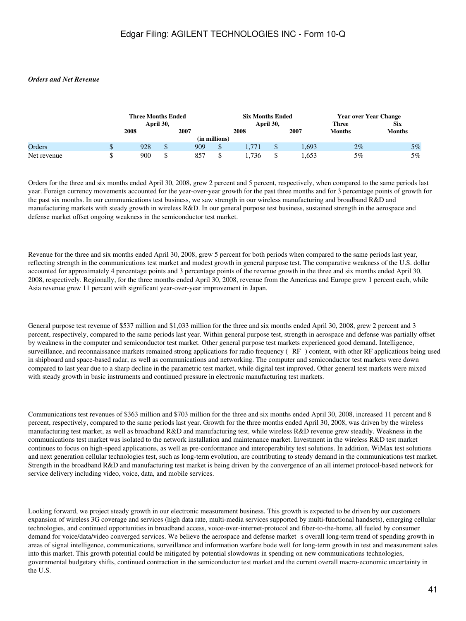### *Orders and Net Revenue*

|             | Three Months Ended |         |      |               | <b>Six Months Ended</b> |           |             | <b>Year over Year Change</b> |               |  |
|-------------|--------------------|---------|------|---------------|-------------------------|-----------|-------------|------------------------------|---------------|--|
|             | April 30,          |         |      |               |                         | April 30, |             | <b>Three</b>                 | Six           |  |
|             | 2008               |         | 2007 |               | 2008                    |           | <b>2007</b> | <b>Months</b>                | <b>Months</b> |  |
|             |                    |         |      | (in millions) |                         |           |             |                              |               |  |
| Orders      | 928                | \$      | 909  | $\Phi$<br>D   | 1.771                   | w         | .693        | $2\%$                        | $5\%$         |  |
| Net revenue | 900                | Φ<br>Ъ. | 857  | ъ             | . 736                   |           | .653        | 5%                           | 5%            |  |

Orders for the three and six months ended April 30, 2008, grew 2 percent and 5 percent, respectively, when compared to the same periods last year. Foreign currency movements accounted for the year-over-year growth for the past three months and for 3 percentage points of growth for the past six months. In our communications test business, we saw strength in our wireless manufacturing and broadband R&D and manufacturing markets with steady growth in wireless R&D. In our general purpose test business, sustained strength in the aerospace and defense market offset ongoing weakness in the semiconductor test market.

Revenue for the three and six months ended April 30, 2008, grew 5 percent for both periods when compared to the same periods last year, reflecting strength in the communications test market and modest growth in general purpose test. The comparative weakness of the U.S. dollar accounted for approximately 4 percentage points and 3 percentage points of the revenue growth in the three and six months ended April 30, 2008, respectively. Regionally, for the three months ended April 30, 2008, revenue from the Americas and Europe grew 1 percent each, while Asia revenue grew 11 percent with significant year-over-year improvement in Japan.

General purpose test revenue of \$537 million and \$1,033 million for the three and six months ended April 30, 2008, grew 2 percent and 3 percent, respectively, compared to the same periods last year. Within general purpose test, strength in aerospace and defense was partially offset by weakness in the computer and semiconductor test market. Other general purpose test markets experienced good demand. Intelligence, surveillance, and reconnaissance markets remained strong applications for radio frequency (RF) content, with other RF applications being used in shipboard and space-based radar, as well as communications and networking. The computer and semiconductor test markets were down compared to last year due to a sharp decline in the parametric test market, while digital test improved. Other general test markets were mixed with steady growth in basic instruments and continued pressure in electronic manufacturing test markets.

Communications test revenues of \$363 million and \$703 million for the three and six months ended April 30, 2008, increased 11 percent and 8 percent, respectively, compared to the same periods last year. Growth for the three months ended April 30, 2008, was driven by the wireless manufacturing test market, as well as broadband R&D and manufacturing test, while wireless R&D revenue grew steadily. Weakness in the communications test market was isolated to the network installation and maintenance market. Investment in the wireless R&D test market continues to focus on high-speed applications, as well as pre-conformance and interoperability test solutions. In addition, WiMax test solutions and next generation cellular technologies test, such as long-term evolution, are contributing to steady demand in the communications test market. Strength in the broadband R&D and manufacturing test market is being driven by the convergence of an all internet protocol-based network for service delivery including video, voice, data, and mobile services.

Looking forward, we project steady growth in our electronic measurement business. This growth is expected to be driven by our customers expansion of wireless 3G coverage and services (high data rate, multi-media services supported by multi-functional handsets), emerging cellular technologies, and continued opportunities in broadband access, voice-over-internet-protocol and fiber-to-the-home, all fueled by consumer demand for voice/data/video converged services. We believe the aerospace and defense market s overall long-term trend of spending growth in areas of signal intelligence, communications, surveillance and information warfare bode well for long-term growth in test and measurement sales into this market. This growth potential could be mitigated by potential slowdowns in spending on new communications technologies, governmental budgetary shifts, continued contraction in the semiconductor test market and the current overall macro-economic uncertainty in the U.S.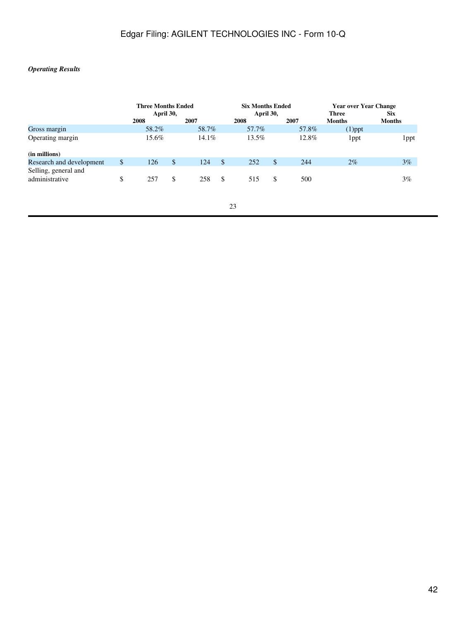### *Operating Results*

|                          | <b>Three Months Ended</b> |           |    | <b>Six Months Ended</b> |           | <b>Year over Year Change</b> |                  |
|--------------------------|---------------------------|-----------|----|-------------------------|-----------|------------------------------|------------------|
|                          | April 30,                 |           |    | April 30,               |           | <b>Three</b>                 | <b>Six</b>       |
|                          | 2008                      | 2007      |    | 2008                    | 2007      | <b>Months</b>                | <b>Months</b>    |
| Gross margin             | 58.2%                     | 58.7%     |    | 57.7%                   | 57.8%     | $(1)$ ppt                    |                  |
| Operating margin         | 15.6%                     | $14.1\%$  |    | 13.5%                   | 12.8%     | l ppt                        | 1 <sub>ppt</sub> |
| (in millions)            |                           |           |    |                         |           |                              |                  |
| Research and development | \$<br>126                 | \$<br>124 | S  | 252                     | \$<br>244 | $2\%$                        | $3\%$            |
| Selling, general and     |                           |           |    |                         |           |                              |                  |
| administrative           | \$<br>257                 | \$<br>258 | -S | 515                     | \$<br>500 |                              | 3%               |
|                          |                           |           |    |                         |           |                              |                  |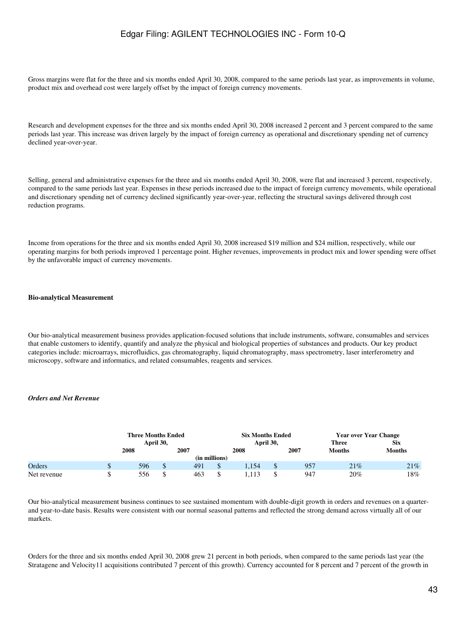Gross margins were flat for the three and six months ended April 30, 2008, compared to the same periods last year, as improvements in volume, product mix and overhead cost were largely offset by the impact of foreign currency movements.

Research and development expenses for the three and six months ended April 30, 2008 increased 2 percent and 3 percent compared to the same periods last year. This increase was driven largely by the impact of foreign currency as operational and discretionary spending net of currency declined year-over-year.

Selling, general and administrative expenses for the three and six months ended April 30, 2008, were flat and increased 3 percent, respectively, compared to the same periods last year. Expenses in these periods increased due to the impact of foreign currency movements, while operational and discretionary spending net of currency declined significantly year-over-year, reflecting the structural savings delivered through cost reduction programs.

Income from operations for the three and six months ended April 30, 2008 increased \$19 million and \$24 million, respectively, while our operating margins for both periods improved 1 percentage point. Higher revenues, improvements in product mix and lower spending were offset by the unfavorable impact of currency movements.

#### **Bio-analytical Measurement**

Our bio-analytical measurement business provides application-focused solutions that include instruments, software, consumables and services that enable customers to identify, quantify and analyze the physical and biological properties of substances and products. Our key product categories include: microarrays, microfluidics, gas chromatography, liquid chromatography, mass spectrometry, laser interferometry and microscopy, software and informatics, and related consumables, reagents and services.

#### *Orders and Net Revenue*

|             | <b>Three Months Ended</b> |     |      |                  | <b>Six Months Ended</b> |      | <b>Year over Year Change</b> |               |  |
|-------------|---------------------------|-----|------|------------------|-------------------------|------|------------------------------|---------------|--|
|             | April 30,                 |     |      |                  | April 30,               |      | <b>Three</b>                 | <b>Six</b>    |  |
|             | 2008                      |     | 2007 |                  | 2008                    | 2007 | <b>Months</b>                | <b>Months</b> |  |
|             |                           |     |      | (in millions)    |                         |      |                              |               |  |
| Orders      | 596                       | \$. | 491  | $\triangle$<br>D | 1.154                   | 957  | 21%                          | 21%           |  |
| Net revenue | 556                       |     | 463  | $\triangle$      |                         | 947  | 20%                          | 18%           |  |

Our bio-analytical measurement business continues to see sustained momentum with double-digit growth in orders and revenues on a quarterand year-to-date basis. Results were consistent with our normal seasonal patterns and reflected the strong demand across virtually all of our markets.

Orders for the three and six months ended April 30, 2008 grew 21 percent in both periods, when compared to the same periods last year (the Stratagene and Velocity11 acquisitions contributed 7 percent of this growth). Currency accounted for 8 percent and 7 percent of the growth in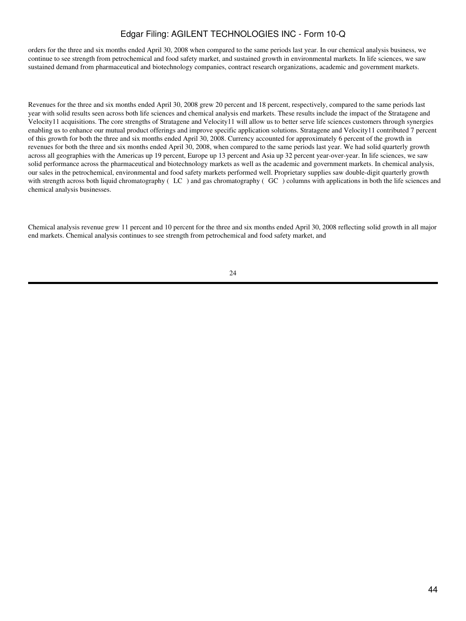orders for the three and six months ended April 30, 2008 when compared to the same periods last year. In our chemical analysis business, we continue to see strength from petrochemical and food safety market, and sustained growth in environmental markets. In life sciences, we saw sustained demand from pharmaceutical and biotechnology companies, contract research organizations, academic and government markets.

Revenues for the three and six months ended April 30, 2008 grew 20 percent and 18 percent, respectively, compared to the same periods last year with solid results seen across both life sciences and chemical analysis end markets. These results include the impact of the Stratagene and Velocity11 acquisitions. The core strengths of Stratagene and Velocity11 will allow us to better serve life sciences customers through synergies enabling us to enhance our mutual product offerings and improve specific application solutions. Stratagene and Velocity11 contributed 7 percent of this growth for both the three and six months ended April 30, 2008. Currency accounted for approximately 6 percent of the growth in revenues for both the three and six months ended April 30, 2008, when compared to the same periods last year. We had solid quarterly growth across all geographies with the Americas up 19 percent, Europe up 13 percent and Asia up 32 percent year-over-year. In life sciences, we saw solid performance across the pharmaceutical and biotechnology markets as well as the academic and government markets. In chemical analysis, our sales in the petrochemical, environmental and food safety markets performed well. Proprietary supplies saw double-digit quarterly growth with strength across both liquid chromatography (LC) and gas chromatography (GC) columns with applications in both the life sciences and chemical analysis businesses.

Chemical analysis revenue grew 11 percent and 10 percent for the three and six months ended April 30, 2008 reflecting solid growth in all major end markets. Chemical analysis continues to see strength from petrochemical and food safety market, and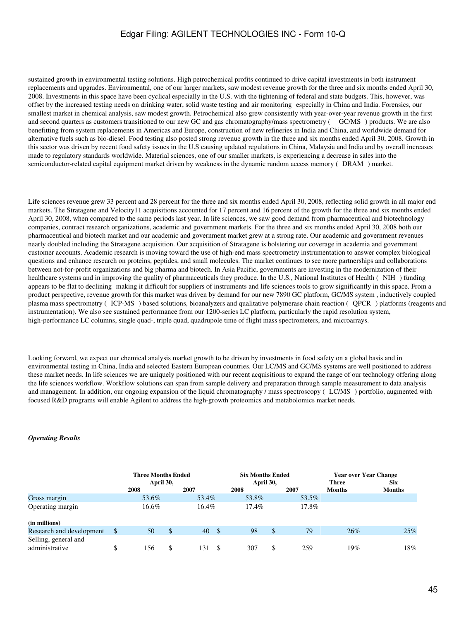sustained growth in environmental testing solutions. High petrochemical profits continued to drive capital investments in both instrument replacements and upgrades. Environmental, one of our larger markets, saw modest revenue growth for the three and six months ended April 30, 2008. Investments in this space have been cyclical especially in the U.S. with the tightening of federal and state budgets. This, however, was offset by the increased testing needs on drinking water, solid waste testing and air monitoringespecially in China and India. Forensics, our smallest market in chemical analysis, saw modest growth. Petrochemical also grew consistently with year-over-year revenue growth in the first and second quarters as customers transitioned to our new GC and gas chromatography/mass spectrometry (GC/MS) products. We are also benefitting from system replacements in Americas and Europe, construction of new refineries in India and China, and worldwide demand for alternative fuels such as bio-diesel. Food testing also posted strong revenue growth in the three and six months ended April 30, 2008. Growth in this sector was driven by recent food safety issues in the U.S causing updated regulations in China, Malaysia and India and by overall increases made to regulatory standards worldwide. Material sciences, one of our smaller markets, is experiencing a decrease in sales into the semiconductor-related capital equipment market driven by weakness in the dynamic random access memory (DRAM) market.

Life sciences revenue grew 33 percent and 28 percent for the three and six months ended April 30, 2008, reflecting solid growth in all major end markets. The Stratagene and Velocity11 acquisitions accounted for 17 percent and 16 percent of the growth for the three and six months ended April 30, 2008, when compared to the same periods last year. In life sciences, we saw good demand from pharmaceutical and biotechnology companies, contract research organizations, academic and government markets. For the three and six months ended April 30, 2008 both our pharmaceutical and biotech market and our academic and government market grew at a strong rate. Our academic and government revenues nearly doubled including the Stratagene acquisition. Our acquisition of Stratagene is bolstering our coverage in academia and government customer accounts. Academic research is moving toward the use of high-end mass spectrometry instrumentation to answer complex biological questions and enhance research on proteins, peptides, and small molecules. The market continues to see more partnerships and collaborations between not-for-profit organizations and big pharma and biotech. In Asia Pacific, governments are investing in the modernization of their healthcare systems and in improving the quality of pharmaceuticals they produce. In the U.S., National Institutes of Health (NIH) funding appears to be flat to declining making it difficult for suppliers of instruments and life sciences tools to grow significantly in this space. From a product perspective, revenue growth for this market was driven by demand for our new 7890 GC platform, GC/MS system , inductively coupled plasma mass spectrometry (ICP-MS) based solutions, bioanalyzers and qualitative polymerase chain reaction (QPCR) platforms (reagents and instrumentation). We also see sustained performance from our 1200-series LC platform, particularly the rapid resolution system, high-performance LC columns, single quad-, triple quad, quadrupole time of flight mass spectrometers, and microarrays.

Looking forward, we expect our chemical analysis market growth to be driven by investments in food safety on a global basis and in environmental testing in China, India and selected Eastern European countries. Our LC/MS and GC/MS systems are well positioned to address these market needs. In life sciences we are uniquely positioned with our recent acquisitions to expand the range of our technology offering along the life sciences workflow. Workflow solutions can span from sample delivery and preparation through sample measurement to data analysis and management. In addition, our ongoing expansion of the liquid chromatography / mass spectroscopy (LC/MS) portfolio, augmented with focused R&D programs will enable Agilent to address the high-growth proteomics and metabolomics market needs.

### *Operating Results*

|                                        |               | <b>Three Months Ended</b> |               |       |      | <b>Six Months Ended</b> |    |       | <b>Year over Year Change</b>  |                             |
|----------------------------------------|---------------|---------------------------|---------------|-------|------|-------------------------|----|-------|-------------------------------|-----------------------------|
|                                        |               | April 30,<br>2008         |               | 2007  |      | April 30,<br>2008       |    | 2007  | <b>Three</b><br><b>Months</b> | <b>Six</b><br><b>Months</b> |
| Gross margin                           |               | 53.6%                     |               | 53.4% |      | 53.8%                   |    | 53.5% |                               |                             |
| Operating margin                       |               | 16.6%                     |               | 16.4% |      | 17.4%                   |    | 17.8% |                               |                             |
| (in millions)                          |               |                           |               |       |      |                         |    |       |                               |                             |
| Research and development               | <sup>\$</sup> | 50                        | <sup>\$</sup> | 40    | - \$ | 98                      | \$ | 79    | 26%                           | 25%                         |
| Selling, general and<br>administrative |               | 156                       | -S            | 131   | -S   | 307                     | S  | 259   | 19%                           | 18%                         |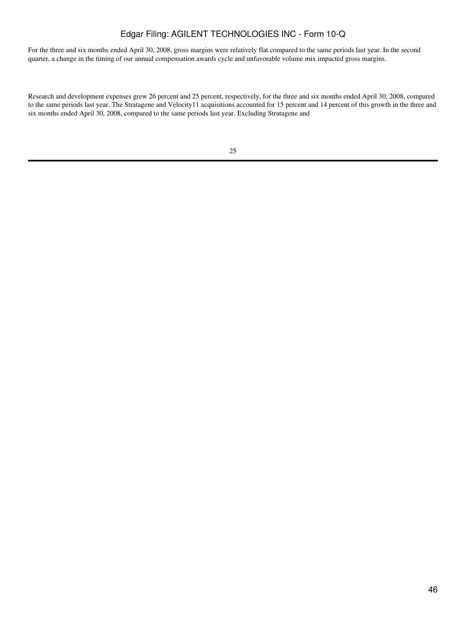For the three and six months ended April 30, 2008, gross margins were relatively flat compared to the same periods last year. In the second quarter, a change in the timing of our annual compensation awards cycle and unfavorable volume mix impacted gross margins.

Research and development expenses grew 26 percent and 25 percent, respectively, for the three and six months ended April 30, 2008, compared to the same periods last year. The Stratagene and Velocity11 acquisitions accounted for 15 percent and 14 percent of this growth in the three and six months ended April 30, 2008, compared to the same periods last year. Excluding Stratagene and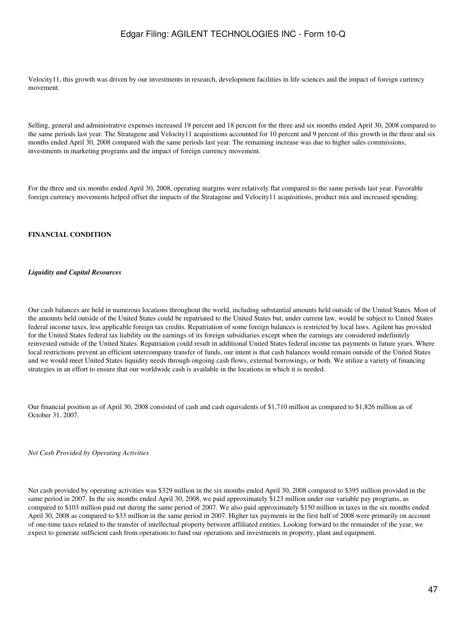Velocity11, this growth was driven by our investments in research, development facilities in life sciences and the impact of foreign currency movement.

Selling, general and administrative expenses increased 19 percent and 18 percent for the three and six months ended April 30, 2008 compared to the same periods last year. The Stratagene and Velocity11 acquisitions accounted for 10 percent and 9 percent of this growth in the three and six months ended April 30, 2008 compared with the same periods last year. The remaining increase was due to higher sales commissions, investments in marketing programs and the impact of foreign currency movement.

For the three and six months ended April 30, 2008, operating margins were relatively flat compared to the same periods last year. Favorable foreign currency movements helped offset the impacts of the Stratagene and Velocity11 acquisitions, product mix and increased spending.

#### **FINANCIAL CONDITION**

#### *Liquidity and Capital Resources*

Our cash balances are held in numerous locations throughout the world, including substantial amounts held outside of the United States. Most of the amounts held outside of the United States could be repatriated to the United States but, under current law, would be subject to United States federal income taxes, less applicable foreign tax credits. Repatriation of some foreign balances is restricted by local laws. Agilent has provided for the United States federal tax liability on the earnings of its foreign subsidiaries except when the earnings are considered indefinitely reinvested outside of the United States. Repatriation could result in additional United States federal income tax payments in future years. Where local restrictions prevent an efficient intercompany transfer of funds, our intent is that cash balances would remain outside of the United States and we would meet United States liquidity needs through ongoing cash flows, external borrowings, or both. We utilize a variety of financing strategies in an effort to ensure that our worldwide cash is available in the locations in which it is needed.

Our financial position as of April 30, 2008 consisted of cash and cash equivalents of \$1,710 million as compared to \$1,826 million as of October 31, 2007.

*Net Cash Provided by Operating Activities*

Net cash provided by operating activities was \$329 million in the six months ended April 30, 2008 compared to \$395 million provided in the same period in 2007. In the six months ended April 30, 2008, we paid approximately \$123 million under our variable pay programs, as compared to \$103 million paid out during the same period of 2007. We also paid approximately \$150 million in taxes in the six months ended April 30, 2008 as compared to \$33 million in the same period in 2007. Higher tax payments in the first half of 2008 were primarily on account of one-time taxes related to the transfer of intellectual property between affiliated entities. Looking forward to the remainder of the year, we expect to generate sufficient cash from operations to fund our operations and investments in property, plant and equipment.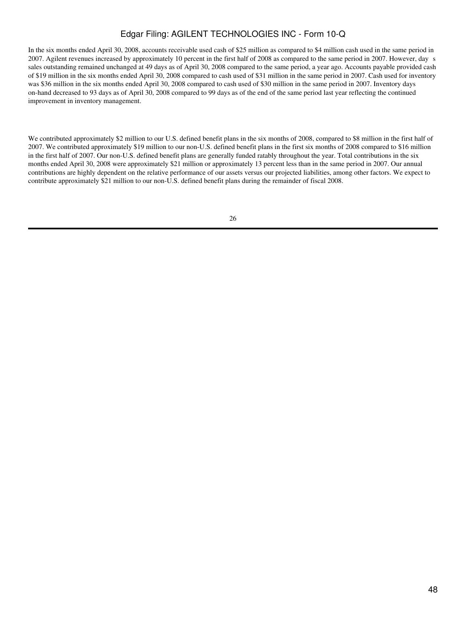In the six months ended April 30, 2008, accounts receivable used cash of \$25 million as compared to \$4 million cash used in the same period in 2007. Agilent revenues increased by approximately 10 percent in the first half of 2008 as compared to the same period in 2007. However, days sales outstanding remained unchanged at 49 days as of April 30, 2008 compared to the same period, a year ago. Accounts payable provided cash of \$19 million in the six months ended April 30, 2008 compared to cash used of \$31 million in the same period in 2007. Cash used for inventory was \$36 million in the six months ended April 30, 2008 compared to cash used of \$30 million in the same period in 2007. Inventory days on-hand decreased to 93 days as of April 30, 2008 compared to 99 days as of the end of the same period last year reflecting the continued improvement in inventory management.

We contributed approximately \$2 million to our U.S. defined benefit plans in the six months of 2008, compared to \$8 million in the first half of 2007. We contributed approximately \$19 million to our non-U.S. defined benefit plans in the first six months of 2008 compared to \$16 million in the first half of 2007. Our non-U.S. defined benefit plans are generally funded ratably throughout the year. Total contributions in the six months ended April 30, 2008 were approximately \$21 million or approximately 13 percent less than in the same period in 2007. Our annual contributions are highly dependent on the relative performance of our assets versus our projected liabilities, among other factors. We expect to contribute approximately \$21 million to our non-U.S. defined benefit plans during the remainder of fiscal 2008.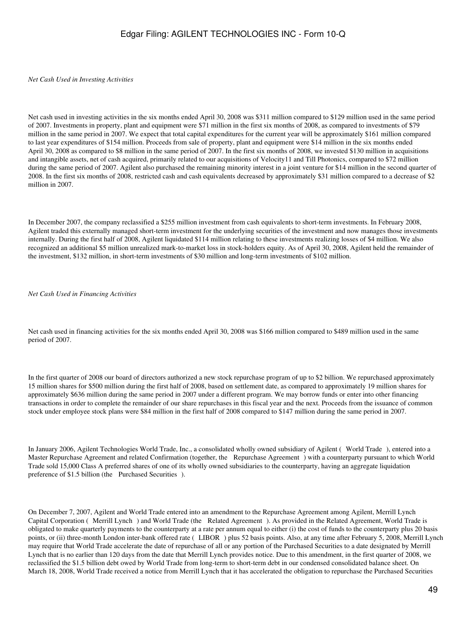#### *Net Cash Used in Investing Activities*

Net cash used in investing activities in the six months ended April 30, 2008 was \$311 million compared to \$129 million used in the same period of 2007. Investments in property, plant and equipment were \$71 million in the first six months of 2008, as compared to investments of \$79 million in the same period in 2007. We expect that total capital expenditures for the current year will be approximately \$161 million compared to last year expenditures of \$154 million. Proceeds from sale of property, plant and equipment were \$14 million in the six months ended April 30, 2008 as compared to \$8 million in the same period of 2007. In the first six months of 2008, we invested \$130 million in acquisitions and intangible assets, net of cash acquired, primarily related to our acquisitions of Velocity11 and Till Photonics, compared to \$72 million during the same period of 2007. Agilent also purchased the remaining minority interest in a joint venture for \$14 million in the second quarter of 2008. In the first six months of 2008, restricted cash and cash equivalents decreased by approximately \$31 million compared to a decrease of \$2 million in 2007.

In December 2007, the company reclassified a \$255 million investment from cash equivalents to short-term investments. In February 2008, Agilent traded this externally managed short-term investment for the underlying securities of the investment and now manages those investments internally. During the first half of 2008, Agilent liquidated \$114 million relating to these investments realizing losses of \$4 million. We also recognized an additional \$5 million unrealized mark-to-market loss in stock-holders equity. As of April 30, 2008, Agilent held the remainder of the investment, \$132 million, in short-term investments of \$30 million and long-term investments of \$102 million.

#### *Net Cash Used in Financing Activities*

Net cash used in financing activities for the six months ended April 30, 2008 was \$166 million compared to \$489 million used in the same period of 2007.

In the first quarter of 2008 our board of directors authorized a new stock repurchase program of up to \$2 billion. We repurchased approximately 15 million shares for \$500 million during the first half of 2008, based on settlement date, as compared to approximately 19 million shares for approximately \$636 million during the same period in 2007 under a different program. We may borrow funds or enter into other financing transactions in order to complete the remainder of our share repurchases in this fiscal year and the next. Proceeds from the issuance of common stock under employee stock plans were \$84 million in the first half of 2008 compared to \$147 million during the same period in 2007.

In January 2006, Agilent Technologies World Trade, Inc., a consolidated wholly owned subsidiary of Agilent (World Trade), entered into a Master Repurchase Agreement and related Confirmation (together, the Repurchase Agreement) with a counterparty pursuant to which World Trade sold 15,000 Class A preferred shares of one of its wholly owned subsidiaries to the counterparty, having an aggregate liquidation preference of \$1.5 billion (the Purchased Securities).

On December 7, 2007, Agilent and World Trade entered into an amendment to the Repurchase Agreement among Agilent, Merrill Lynch Capital Corporation (Merrill Lynch) and World Trade (the Related Agreement). As provided in the Related Agreement, World Trade is obligated to make quarterly payments to the counterparty at a rate per annum equal to either (i) the cost of funds to the counterparty plus 20 basis points, or (ii) three-month London inter-bank offered rate (LIBOR) plus 52 basis points. Also, at any time after February 5, 2008, Merrill Lynch may require that World Trade accelerate the date of repurchase of all or any portion of the Purchased Securities to a date designated by Merrill Lynch that is no earlier than 120 days from the date that Merrill Lynch provides notice. Due to this amendment, in the first quarter of 2008, we reclassified the \$1.5 billion debt owed by World Trade from long-term to short-term debt in our condensed consolidated balance sheet. On March 18, 2008, World Trade received a notice from Merrill Lynch that it has accelerated the obligation to repurchase the Purchased Securities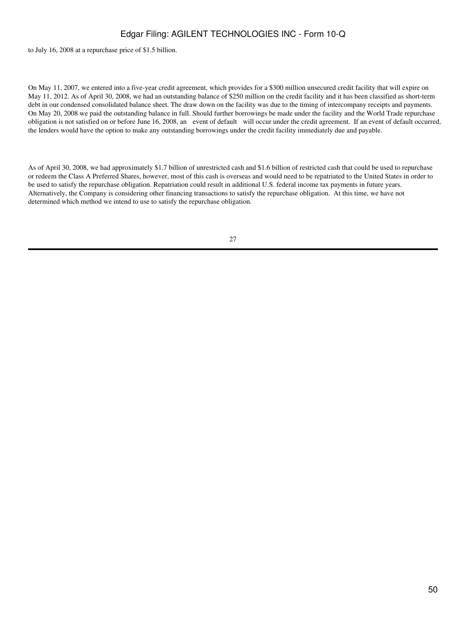to July 16, 2008 at a repurchase price of \$1.5 billion.

On May 11, 2007, we entered into a five-year credit agreement, which provides for a \$300 million unsecured credit facility that will expire on May 11, 2012. As of April 30, 2008, we had an outstanding balance of \$250 million on the credit facility and it has been classified as short-term debt in our condensed consolidated balance sheet. The draw down on the facility was due to the timing of intercompany receipts and payments. On May 20, 2008 we paid the outstanding balance in full. Should further borrowings be made under the facility and the World Trade repurchase obligation is not satisfied on or before June 16, 2008, an event of default will occur under the credit agreement. If an event of default occurred, the lenders would have the option to make any outstanding borrowings under the credit facility immediately due and payable.

As of April 30, 2008, we had approximately \$1.7 billion of unrestricted cash and \$1.6 billion of restricted cash that could be used to repurchase or redeem the Class A Preferred Shares, however, most of this cash is overseas and would need to be repatriated to the United States in order to be used to satisfy the repurchase obligation. Repatriation could result in additional U.S. federal income tax payments in future years. Alternatively, the Company is considering other financing transactions to satisfy the repurchase obligation. At this time, we have not determined which method we intend to use to satisfy the repurchase obligation.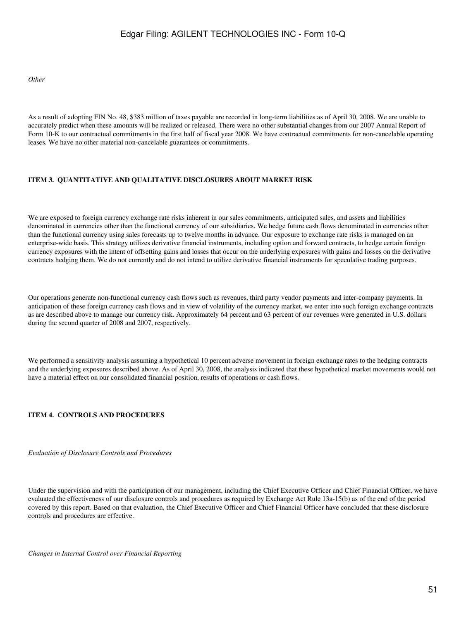*Other*

As a result of adopting FIN No. 48, \$383 million of taxes payable are recorded in long-term liabilities as of April 30, 2008. We are unable to accurately predict when these amounts will be realized or released. There were no other substantial changes from our 2007 Annual Report of Form 10-K to our contractual commitments in the first half of fiscal year 2008. We have contractual commitments for non-cancelable operating leases. We have no other material non-cancelable guarantees or commitments.

### **ITEM 3. QUANTITATIVE AND QUALITATIVE DISCLOSURES ABOUT MARKET RISK**

We are exposed to foreign currency exchange rate risks inherent in our sales commitments, anticipated sales, and assets and liabilities denominated in currencies other than the functional currency of our subsidiaries. We hedge future cash flows denominated in currencies other than the functional currency using sales forecasts up to twelve months in advance. Our exposure to exchange rate risks is managed on an enterprise-wide basis. This strategy utilizes derivative financial instruments, including option and forward contracts, to hedge certain foreign currency exposures with the intent of offsetting gains and losses that occur on the underlying exposures with gains and losses on the derivative contracts hedging them. We do not currently and do not intend to utilize derivative financial instruments for speculative trading purposes.

Our operations generate non-functional currency cash flows such as revenues, third party vendor payments and inter-company payments. In anticipation of these foreign currency cash flows and in view of volatility of the currency market, we enter into such foreign exchange contracts as are described above to manage our currency risk. Approximately 64 percent and 63 percent of our revenues were generated in U.S. dollars during the second quarter of 2008 and 2007, respectively.

We performed a sensitivity analysis assuming a hypothetical 10 percent adverse movement in foreign exchange rates to the hedging contracts and the underlying exposures described above. As of April 30, 2008, the analysis indicated that these hypothetical market movements would not have a material effect on our consolidated financial position, results of operations or cash flows.

### **ITEM 4. CONTROLS AND PROCEDURES**

*Evaluation of Disclosure Controls and Procedures*

Under the supervision and with the participation of our management, including the Chief Executive Officer and Chief Financial Officer, we have evaluated the effectiveness of our disclosure controls and procedures as required by Exchange Act Rule 13a-15(b) as of the end of the period covered by this report. Based on that evaluation, the Chief Executive Officer and Chief Financial Officer have concluded that these disclosure controls and procedures are effective.

*Changes in Internal Control over Financial Reporting*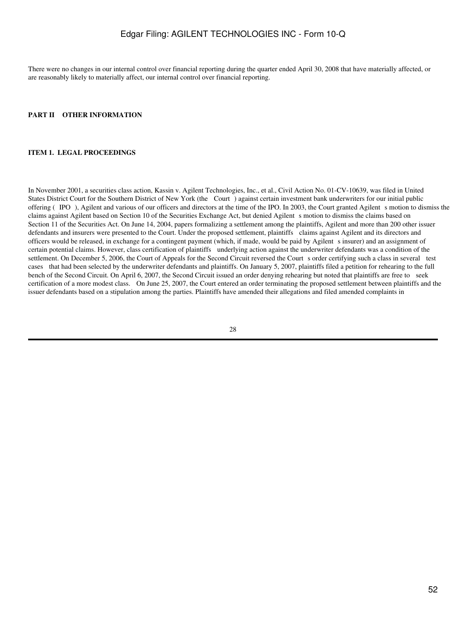There were no changes in our internal control over financial reporting during the quarter ended April 30, 2008 that have materially affected, or are reasonably likely to materially affect, our internal control over financial reporting.

#### **PART II OTHER INFORMATION**

#### **ITEM 1. LEGAL PROCEEDINGS**

In November 2001, a securities class action, Kassin v. Agilent Technologies, Inc., et al., Civil Action No. 01-CV-10639, was filed in United States District Court for the Southern District of New York (the Court) against certain investment bank underwriters for our initial public offering (IPO), Agilent and various of our officers and directors at the time of the IPO. In 2003, the Court granted Agilent s motion to dismiss the claims against Agilent based on Section 10 of the Securities Exchange Act, but denied Agilent s motion to dismiss the claims based on Section 11 of the Securities Act. On June 14, 2004, papers formalizing a settlement among the plaintiffs, Agilent and more than 200 other issuer defendants and insurers were presented to the Court. Under the proposed settlement, plaintiffs claims against Agilent and its directors and officers would be released, in exchange for a contingent payment (which, if made, would be paid by Agilent s insurer) and an assignment of certain potential claims. However, class certification of plaintiffs underlying action against the underwriter defendants was a condition of the settlement. On December 5, 2006, the Court of Appeals for the Second Circuit reversed the Court s order certifying such a class in several test cases that had been selected by the underwriter defendants and plaintiffs. On January 5, 2007, plaintiffs filed a petition for rehearing to the full bench of the Second Circuit. On April 6, 2007, the Second Circuit issued an order denying rehearing but noted that plaintiffs are free to seek certification of a more modest class. On June 25, 2007, the Court entered an order terminating the proposed settlement between plaintiffs and the issuer defendants based on a stipulation among the parties. Plaintiffs have amended their allegations and filed amended complaints in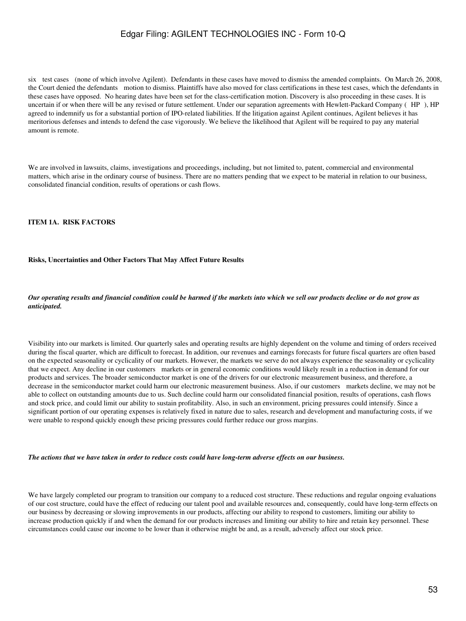six test cases (none of which involve Agilent). Defendants in these cases have moved to dismiss the amended complaints. On March 26, 2008, the Court denied the defendants motion to dismiss. Plaintiffs have also moved for class certifications in these test cases, which the defendants in these cases have opposed. No hearing dates have been set for the class-certification motion. Discovery is also proceeding in these cases. It is uncertain if or when there will be any revised or future settlement. Under our separation agreements with Hewlett-Packard Company (HP), HP agreed to indemnify us for a substantial portion of IPO-related liabilities. If the litigation against Agilent continues, Agilent believes it has meritorious defenses and intends to defend the case vigorously. We believe the likelihood that Agilent will be required to pay any material amount is remote.

We are involved in lawsuits, claims, investigations and proceedings, including, but not limited to, patent, commercial and environmental matters, which arise in the ordinary course of business. There are no matters pending that we expect to be material in relation to our business, consolidated financial condition, results of operations or cash flows.

### **ITEM 1A. RISK FACTORS**

#### **Risks, Uncertainties and Other Factors That May Affect Future Results**

### *Our operating results and financial condition could be harmed if the markets into which we sell our products decline or do not grow as anticipated.*

Visibility into our markets is limited. Our quarterly sales and operating results are highly dependent on the volume and timing of orders received during the fiscal quarter, which are difficult to forecast. In addition, our revenues and earnings forecasts for future fiscal quarters are often based on the expected seasonality or cyclicality of our markets. However, the markets we serve do not always experience the seasonality or cyclicality that we expect. Any decline in our customers markets or in general economic conditions would likely result in a reduction in demand for our products and services. The broader semiconductor market is one of the drivers for our electronic measurement business, and therefore, a decrease in the semiconductor market could harm our electronic measurement business. Also, if our customers markets decline, we may not be able to collect on outstanding amounts due to us. Such decline could harm our consolidated financial position, results of operations, cash flows and stock price, and could limit our ability to sustain profitability. Also, in such an environment, pricing pressures could intensify. Since a significant portion of our operating expenses is relatively fixed in nature due to sales, research and development and manufacturing costs, if we were unable to respond quickly enough these pricing pressures could further reduce our gross margins.

*The actions that we have taken in order to reduce costs could have long-term adverse effects on our business.*

We have largely completed our program to transition our company to a reduced cost structure. These reductions and regular ongoing evaluations of our cost structure, could have the effect of reducing our talent pool and available resources and, consequently, could have long-term effects on our business by decreasing or slowing improvements in our products, affecting our ability to respond to customers, limiting our ability to increase production quickly if and when the demand for our products increases and limiting our ability to hire and retain key personnel. These circumstances could cause our income to be lower than it otherwise might be and, as a result, adversely affect our stock price.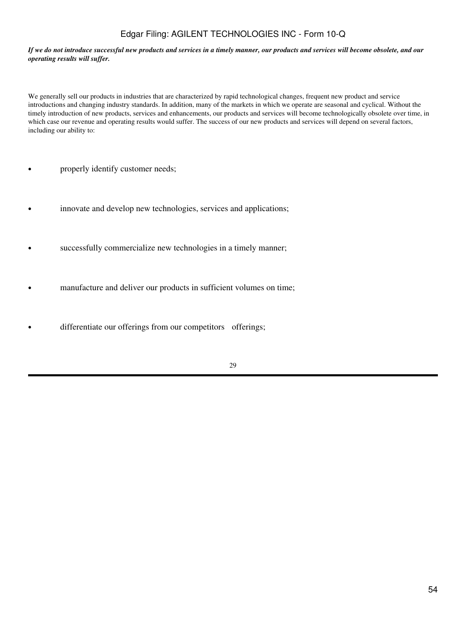#### *If we do not introduce successful new products and services in a timely manner, our products and services will become obsolete, and our operating results will suffer.*

We generally sell our products in industries that are characterized by rapid technological changes, frequent new product and service introductions and changing industry standards. In addition, many of the markets in which we operate are seasonal and cyclical. Without the timely introduction of new products, services and enhancements, our products and services will become technologically obsolete over time, in which case our revenue and operating results would suffer. The success of our new products and services will depend on several factors, including our ability to:

- properly identify customer needs;
- innovate and develop new technologies, services and applications;
- successfully commercialize new technologies in a timely manner;
- manufacture and deliver our products in sufficient volumes on time;
- differentiate our offerings from our competitors offerings;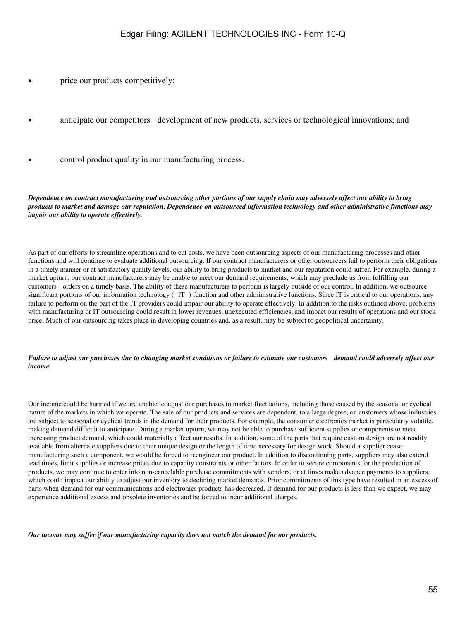- price our products competitively;
- anticipate our competitors development of new products, services or technological innovations; and
- control product quality in our manufacturing process.

*Dependence on contract manufacturing and outsourcing other portions of our supply chain may adversely affect our ability to bring products to market and damage our reputation. Dependence on outsourced information technology and other administrative functions may impair our ability to operate effectively.*

As part of our efforts to streamline operations and to cut costs, we have been outsourcing aspects of our manufacturing processes and other functions and will continue to evaluate additional outsourcing. If our contract manufacturers or other outsourcers fail to perform their obligations in a timely manner or at satisfactory quality levels, our ability to bring products to market and our reputation could suffer. For example, during a market upturn, our contract manufacturers may be unable to meet our demand requirements, which may preclude us from fulfilling our customers orders on a timely basis. The ability of these manufacturers to perform is largely outside of our control. In addition, we outsource significant portions of our information technology (IT) function and other administrative functions. Since IT is critical to our operations, any failure to perform on the part of the IT providers could impair our ability to operate effectively. In addition to the risks outlined above, problems with manufacturing or IT outsourcing could result in lower revenues, unexecuted efficiencies, and impact our results of operations and our stock price. Much of our outsourcing takes place in developing countries and, as a result, may be subject to geopolitical uncertainty.

### *Failure to adjust our purchases due to changing market conditions or failure to estimate our customers demand could adversely affect our income.*

Our income could be harmed if we are unable to adjust our purchases to market fluctuations, including those caused by the seasonal or cyclical nature of the markets in which we operate. The sale of our products and services are dependent, to a large degree, on customers whose industries are subject to seasonal or cyclical trends in the demand for their products. For example, the consumer electronics market is particularly volatile, making demand difficult to anticipate. During a market upturn, we may not be able to purchase sufficient supplies or components to meet increasing product demand, which could materially affect our results. In addition, some of the parts that require custom design are not readily available from alternate suppliers due to their unique design or the length of time necessary for design work. Should a supplier cease manufacturing such a component, we would be forced to reengineer our product. In addition to discontinuing parts, suppliers may also extend lead times, limit supplies or increase prices due to capacity constraints or other factors. In order to secure components for the production of products, we may continue to enter into non-cancelable purchase commitments with vendors, or at times make advance payments to suppliers, which could impact our ability to adjust our inventory to declining market demands. Prior commitments of this type have resulted in an excess of parts when demand for our communications and electronics products has decreased. If demand for our products is less than we expect, we may experience additional excess and obsolete inventories and be forced to incur additional charges.

*Our income may suffer if our manufacturing capacity does not match the demand for our products.*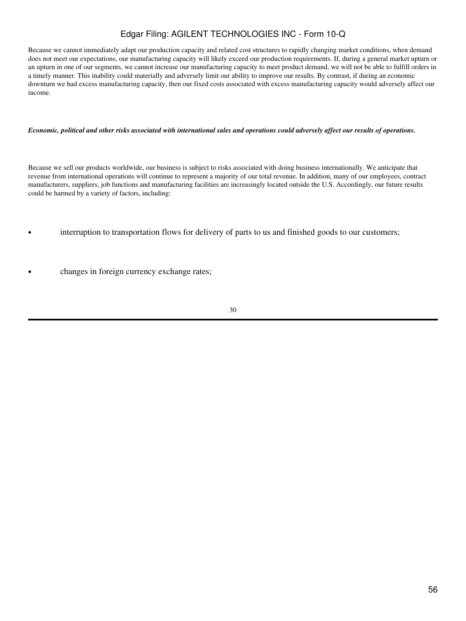Because we cannot immediately adapt our production capacity and related cost structures to rapidly changing market conditions, when demand does not meet our expectations, our manufacturing capacity will likely exceed our production requirements. If, during a general market upturn or an upturn in one of our segments, we cannot increase our manufacturing capacity to meet product demand, we will not be able to fulfill orders in a timely manner. This inability could materially and adversely limit our ability to improve our results. By contrast, if during an economic downturn we had excess manufacturing capacity, then our fixed costs associated with excess manufacturing capacity would adversely affect our income.

#### *Economic, political and other risks associated with international sales and operations could adversely affect our results of operations.*

Because we sell our products worldwide, our business is subject to risks associated with doing business internationally. We anticipate that revenue from international operations will continue to represent a majority of our total revenue. In addition, many of our employees, contract manufacturers, suppliers, job functions and manufacturing facilities are increasingly located outside the U.S. Accordingly, our future results could be harmed by a variety of factors, including:

- interruption to transportation flows for delivery of parts to us and finished goods to our customers;
- changes in foreign currency exchange rates;
- 30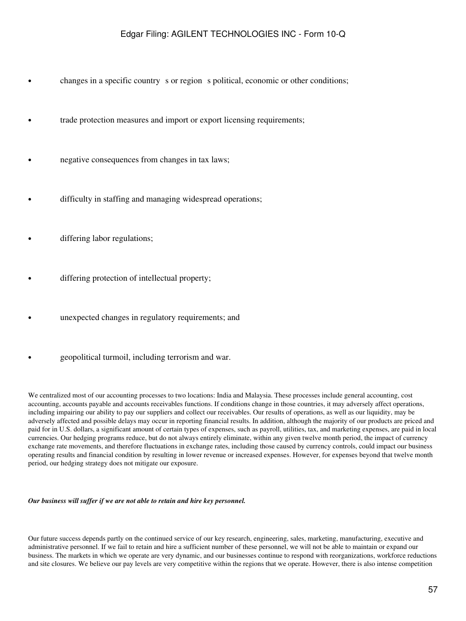- changes in a specific country s or region s political, economic or other conditions;
- trade protection measures and import or export licensing requirements;
- negative consequences from changes in tax laws;
	- difficulty in staffing and managing widespread operations;
- differing labor regulations;
- differing protection of intellectual property;
- unexpected changes in regulatory requirements; and
- geopolitical turmoil, including terrorism and war.

We centralized most of our accounting processes to two locations: India and Malaysia. These processes include general accounting, cost accounting, accounts payable and accounts receivables functions. If conditions change in those countries, it may adversely affect operations, including impairing our ability to pay our suppliers and collect our receivables. Our results of operations, as well as our liquidity, may be adversely affected and possible delays may occur in reporting financial results. In addition, although the majority of our products are priced and paid for in U.S. dollars, a significant amount of certain types of expenses, such as payroll, utilities, tax, and marketing expenses, are paid in local currencies. Our hedging programs reduce, but do not always entirely eliminate, within any given twelve month period, the impact of currency exchange rate movements, and therefore fluctuations in exchange rates, including those caused by currency controls, could impact our business operating results and financial condition by resulting in lower revenue or increased expenses. However, for expenses beyond that twelve month period, our hedging strategy does not mitigate our exposure.

### *Our business will suffer if we are not able to retain and hire key personnel.*

Our future success depends partly on the continued service of our key research, engineering, sales, marketing, manufacturing, executive and administrative personnel. If we fail to retain and hire a sufficient number of these personnel, we will not be able to maintain or expand our business. The markets in which we operate are very dynamic, and our businesses continue to respond with reorganizations, workforce reductions and site closures. We believe our pay levels are very competitive within the regions that we operate. However, there is also intense competition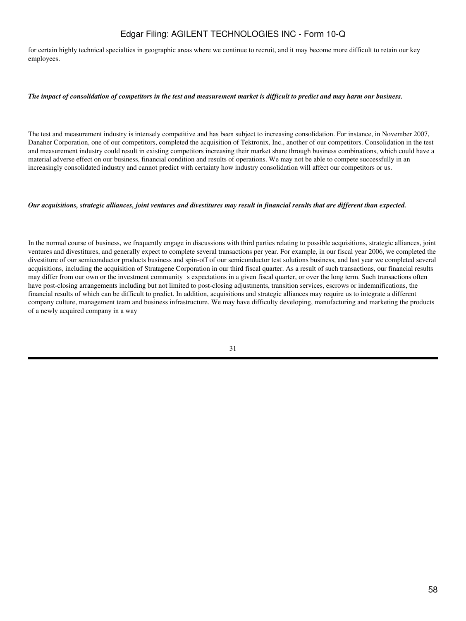for certain highly technical specialties in geographic areas where we continue to recruit, and it may become more difficult to retain our key employees.

#### *The impact of consolidation of competitors in the test and measurement market is difficult to predict and may harm our business.*

The test and measurement industry is intensely competitive and has been subject to increasing consolidation. For instance, in November 2007, Danaher Corporation, one of our competitors, completed the acquisition of Tektronix, Inc., another of our competitors. Consolidation in the test and measurement industry could result in existing competitors increasing their market share through business combinations, which could have a material adverse effect on our business, financial condition and results of operations. We may not be able to compete successfully in an increasingly consolidated industry and cannot predict with certainty how industry consolidation will affect our competitors or us.

#### *Our acquisitions, strategic alliances, joint ventures and divestitures may result in financial results that are different than expected.*

In the normal course of business, we frequently engage in discussions with third parties relating to possible acquisitions, strategic alliances, joint ventures and divestitures, and generally expect to complete several transactions per year. For example, in our fiscal year 2006, we completed the divestiture of our semiconductor products business and spin-off of our semiconductor test solutions business, and last year we completed several acquisitions, including the acquisition of Stratagene Corporation in our third fiscal quarter. As a result of such transactions, our financial results may differ from our own or the investment community s expectations in a given fiscal quarter, or over the long term. Such transactions often have post-closing arrangements including but not limited to post-closing adjustments, transition services, escrows or indemnifications, the financial results of which can be difficult to predict. In addition, acquisitions and strategic alliances may require us to integrate a different company culture, management team and business infrastructure. We may have difficulty developing, manufacturing and marketing the products of a newly acquired company in a way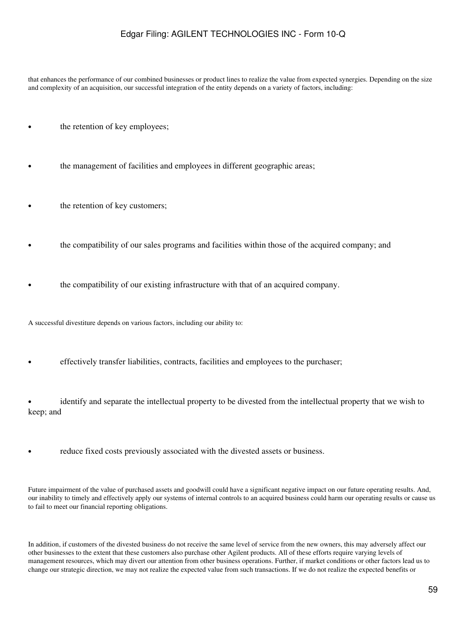that enhances the performance of our combined businesses or product lines to realize the value from expected synergies. Depending on the size and complexity of an acquisition, our successful integration of the entity depends on a variety of factors, including:

- the retention of key employees;
- the management of facilities and employees in different geographic areas;
- the retention of key customers;
- the compatibility of our sales programs and facilities within those of the acquired company; and
- the compatibility of our existing infrastructure with that of an acquired company.

A successful divestiture depends on various factors, including our ability to:

• effectively transfer liabilities, contracts, facilities and employees to the purchaser;

• identify and separate the intellectual property to be divested from the intellectual property that we wish to keep; and

reduce fixed costs previously associated with the divested assets or business.

Future impairment of the value of purchased assets and goodwill could have a significant negative impact on our future operating results. And, our inability to timely and effectively apply our systems of internal controls to an acquired business could harm our operating results or cause us to fail to meet our financial reporting obligations.

In addition, if customers of the divested business do not receive the same level of service from the new owners, this may adversely affect our other businesses to the extent that these customers also purchase other Agilent products. All of these efforts require varying levels of management resources, which may divert our attention from other business operations. Further, if market conditions or other factors lead us to change our strategic direction, we may not realize the expected value from such transactions. If we do not realize the expected benefits or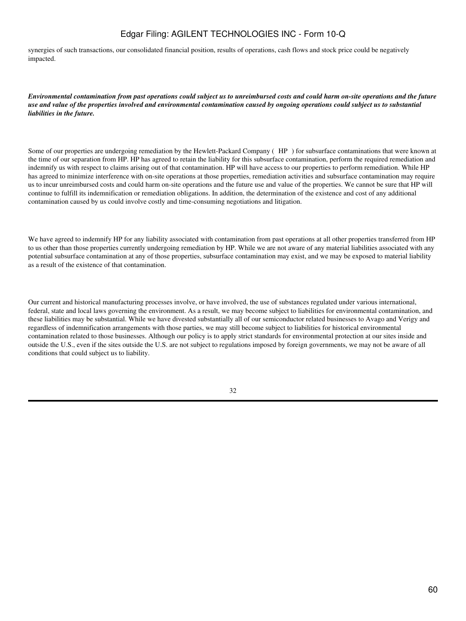synergies of such transactions, our consolidated financial position, results of operations, cash flows and stock price could be negatively impacted.

*Environmental contamination from past operations could subject us to unreimbursed costs and could harm on-site operations and the future use and value of the properties involved and environmental contamination caused by ongoing operations could subject us to substantial liabilities in the future.*

Some of our properties are undergoing remediation by the Hewlett-Packard Company (HP) for subsurface contaminations that were known at the time of our separation from HP. HP has agreed to retain the liability for this subsurface contamination, perform the required remediation and indemnify us with respect to claims arising out of that contamination. HP will have access to our properties to perform remediation. While HP has agreed to minimize interference with on-site operations at those properties, remediation activities and subsurface contamination may require us to incur unreimbursed costs and could harm on-site operations and the future use and value of the properties. We cannot be sure that HP will continue to fulfill its indemnification or remediation obligations. In addition, the determination of the existence and cost of any additional contamination caused by us could involve costly and time-consuming negotiations and litigation.

We have agreed to indemnify HP for any liability associated with contamination from past operations at all other properties transferred from HP to us other than those properties currently undergoing remediation by HP. While we are not aware of any material liabilities associated with any potential subsurface contamination at any of those properties, subsurface contamination may exist, and we may be exposed to material liability as a result of the existence of that contamination.

Our current and historical manufacturing processes involve, or have involved, the use of substances regulated under various international, federal, state and local laws governing the environment. As a result, we may become subject to liabilities for environmental contamination, and these liabilities may be substantial. While we have divested substantially all of our semiconductor related businesses to Avago and Verigy and regardless of indemnification arrangements with those parties, we may still become subject to liabilities for historical environmental contamination related to those businesses. Although our policy is to apply strict standards for environmental protection at our sites inside and outside the U.S., even if the sites outside the U.S. are not subject to regulations imposed by foreign governments, we may not be aware of all conditions that could subject us to liability.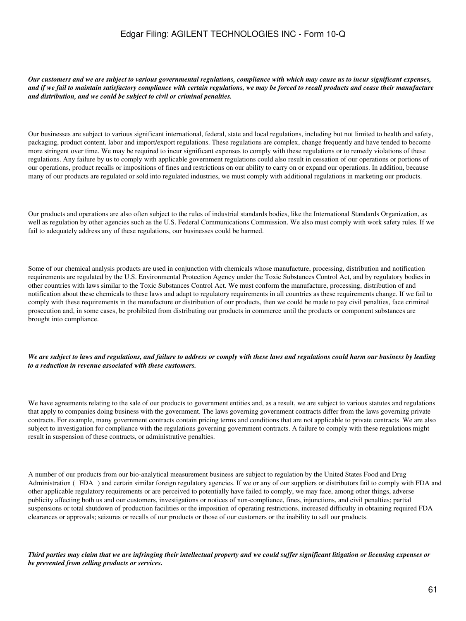*Our customers and we are subject to various governmental regulations, compliance with which may cause us to incur significant expenses, and if we fail to maintain satisfactory compliance with certain regulations, we may be forced to recall products and cease their manufacture and distribution, and we could be subject to civil or criminal penalties.*

Our businesses are subject to various significant international, federal, state and local regulations, including but not limited to health and safety, packaging, product content, labor and import/export regulations. These regulations are complex, change frequently and have tended to become more stringent over time. We may be required to incur significant expenses to comply with these regulations or to remedy violations of these regulations. Any failure by us to comply with applicable government regulations could also result in cessation of our operations or portions of our operations, product recalls or impositions of fines and restrictions on our ability to carry on or expand our operations. In addition, because many of our products are regulated or sold into regulated industries, we must comply with additional regulations in marketing our products.

Our products and operations are also often subject to the rules of industrial standards bodies, like the International Standards Organization, as well as regulation by other agencies such as the U.S. Federal Communications Commission. We also must comply with work safety rules. If we fail to adequately address any of these regulations, our businesses could be harmed.

Some of our chemical analysis products are used in conjunction with chemicals whose manufacture, processing, distribution and notification requirements are regulated by the U.S. Environmental Protection Agency under the Toxic Substances Control Act, and by regulatory bodies in other countries with laws similar to the Toxic Substances Control Act. We must conform the manufacture, processing, distribution of and notification about these chemicals to these laws and adapt to regulatory requirements in all countries as these requirements change. If we fail to comply with these requirements in the manufacture or distribution of our products, then we could be made to pay civil penalties, face criminal prosecution and, in some cases, be prohibited from distributing our products in commerce until the products or component substances are brought into compliance.

#### *We are subject to laws and regulations, and failure to address or comply with these laws and regulations could harm our business by leading to a reduction in revenue associated with these customers.*

We have agreements relating to the sale of our products to government entities and, as a result, we are subject to various statutes and regulations that apply to companies doing business with the government. The laws governing government contracts differ from the laws governing private contracts. For example, many government contracts contain pricing terms and conditions that are not applicable to private contracts. We are also subject to investigation for compliance with the regulations governing government contracts. A failure to comply with these regulations might result in suspension of these contracts, or administrative penalties.

A number of our products from our bio-analytical measurement business are subject to regulation by the United States Food and Drug Administration (FDA) and certain similar foreign regulatory agencies. If we or any of our suppliers or distributors fail to comply with FDA and other applicable regulatory requirements or are perceived to potentially have failed to comply, we may face, among other things, adverse publicity affecting both us and our customers, investigations or notices of non-compliance, fines, injunctions, and civil penalties; partial suspensions or total shutdown of production facilities or the imposition of operating restrictions, increased difficulty in obtaining required FDA clearances or approvals; seizures or recalls of our products or those of our customers or the inability to sell our products.

*Third parties may claim that we are infringing their intellectual property and we could suffer significant litigation or licensing expenses or be prevented from selling products or services.*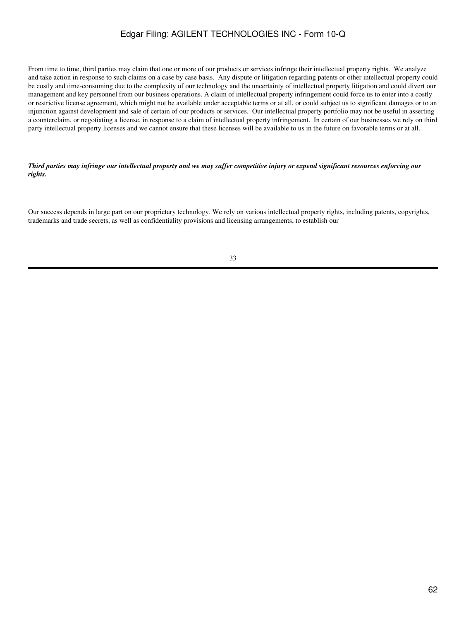From time to time, third parties may claim that one or more of our products or services infringe their intellectual property rights. We analyze and take action in response to such claims on a case by case basis. Any dispute or litigation regarding patents or other intellectual property could be costly and time-consuming due to the complexity of our technology and the uncertainty of intellectual property litigation and could divert our management and key personnel from our business operations. A claim of intellectual property infringement could force us to enter into a costly or restrictive license agreement, which might not be available under acceptable terms or at all, or could subject us to significant damages or to an injunction against development and sale of certain of our products or services. Our intellectual property portfolio may not be useful in asserting a counterclaim, or negotiating a license, in response to a claim of intellectual property infringement. In certain of our businesses we rely on third party intellectual property licenses and we cannot ensure that these licenses will be available to us in the future on favorable terms or at all.

### *Third parties may infringe our intellectual property and we may suffer competitive injury or expend significant resources enforcing our rights.*

Our success depends in large part on our proprietary technology. We rely on various intellectual property rights, including patents, copyrights, trademarks and trade secrets, as well as confidentiality provisions and licensing arrangements, to establish our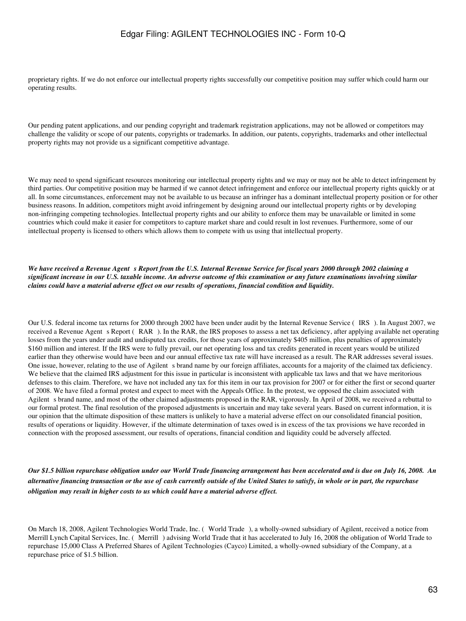proprietary rights. If we do not enforce our intellectual property rights successfully our competitive position may suffer which could harm our operating results.

Our pending patent applications, and our pending copyright and trademark registration applications, may not be allowed or competitors may challenge the validity or scope of our patents, copyrights or trademarks. In addition, our patents, copyrights, trademarks and other intellectual property rights may not provide us a significant competitive advantage.

We may need to spend significant resources monitoring our intellectual property rights and we may or may not be able to detect infringement by third parties. Our competitive position may be harmed if we cannot detect infringement and enforce our intellectual property rights quickly or at all. In some circumstances, enforcement may not be available to us because an infringer has a dominant intellectual property position or for other business reasons. In addition, competitors might avoid infringement by designing around our intellectual property rights or by developing non-infringing competing technologies. Intellectual property rights and our ability to enforce them may be unavailable or limited in some countries which could make it easier for competitors to capture market share and could result in lost revenues. Furthermore, some of our intellectual property is licensed to others which allows them to compete with us using that intellectual property.

#### *We have received a Revenue Agent s Report from the U.S. Internal Revenue Service for fiscal years 2000 through 2002 claiming a significant increase in our U.S. taxable income. An adverse outcome of this examination or any future examinations involving similar claims could have a material adverse effect on our results of operations, financial condition and liquidity.*

Our U.S. federal income tax returns for 2000 through 2002 have been under audit by the Internal Revenue Service (IRS). In August 2007, we received a Revenue Agent s Report (RAR). In the RAR, the IRS proposes to assess a net tax deficiency, after applying available net operating losses from the years under audit and undisputed tax credits, for those years of approximately \$405 million, plus penalties of approximately \$160 million and interest. If the IRS were to fully prevail, our net operating loss and tax credits generated in recent years would be utilized earlier than they otherwise would have been and our annual effective tax rate will have increased as a result. The RAR addresses several issues. One issue, however, relating to the use of Agilent s brand name by our foreign affiliates, accounts for a majority of the claimed tax deficiency. We believe that the claimed IRS adjustment for this issue in particular is inconsistent with applicable tax laws and that we have meritorious defenses to this claim. Therefore, we have not included any tax for this item in our tax provision for 2007 or for either the first or second quarter of 2008. We have filed a formal protest and expect to meet with the Appeals Office. In the protest, we opposed the claim associated with Agilent s brand name, and most of the other claimed adjustments proposed in the RAR, vigorously. In April of 2008, we received a rebuttal to our formal protest. The final resolution of the proposed adjustments is uncertain and may take several years. Based on current information, it is our opinion that the ultimate disposition of these matters is unlikely to have a material adverse effect on our consolidated financial position, results of operations or liquidity. However, if the ultimate determination of taxes owed is in excess of the tax provisions we have recorded in connection with the proposed assessment, our results of operations, financial condition and liquidity could be adversely affected.

*Our \$1.5 billion repurchase obligation under our World Trade financing arrangement has been accelerated and is due on July 16, 2008. An alternative financing transaction or the use of cash currently outside of the United States to satisfy, in whole or in part, the repurchase obligation may result in higher costs to us which could have a material adverse effect.*

On March 18, 2008, Agilent Technologies World Trade, Inc. (World Trade), a wholly-owned subsidiary of Agilent, received a notice from Merrill Lynch Capital Services, Inc. (Merrill) advising World Trade that it has accelerated to July 16, 2008 the obligation of World Trade to repurchase 15,000 Class A Preferred Shares of Agilent Technologies (Cayco) Limited, a wholly-owned subsidiary of the Company, at a repurchase price of \$1.5 billion.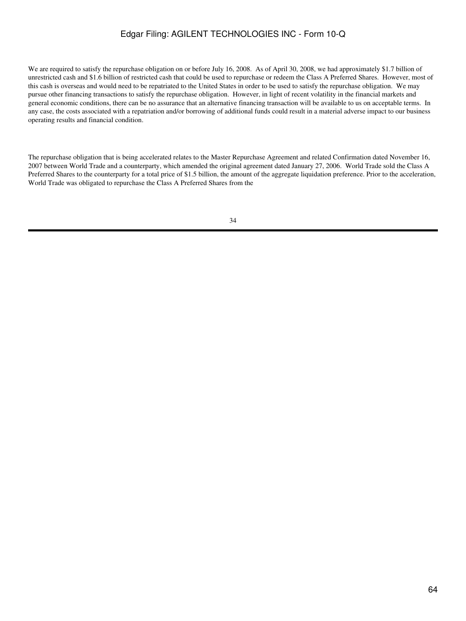We are required to satisfy the repurchase obligation on or before July 16, 2008. As of April 30, 2008, we had approximately \$1.7 billion of unrestricted cash and \$1.6 billion of restricted cash that could be used to repurchase or redeem the Class A Preferred Shares. However, most of this cash is overseas and would need to be repatriated to the United States in order to be used to satisfy the repurchase obligation. We may pursue other financing transactions to satisfy the repurchase obligation. However, in light of recent volatility in the financial markets and general economic conditions, there can be no assurance that an alternative financing transaction will be available to us on acceptable terms. In any case, the costs associated with a repatriation and/or borrowing of additional funds could result in a material adverse impact to our business operating results and financial condition.

The repurchase obligation that is being accelerated relates to the Master Repurchase Agreement and related Confirmation dated November 16, 2007 between World Trade and a counterparty, which amended the original agreement dated January 27, 2006. World Trade sold the Class A Preferred Shares to the counterparty for a total price of \$1.5 billion, the amount of the aggregate liquidation preference. Prior to the acceleration, World Trade was obligated to repurchase the Class A Preferred Shares from the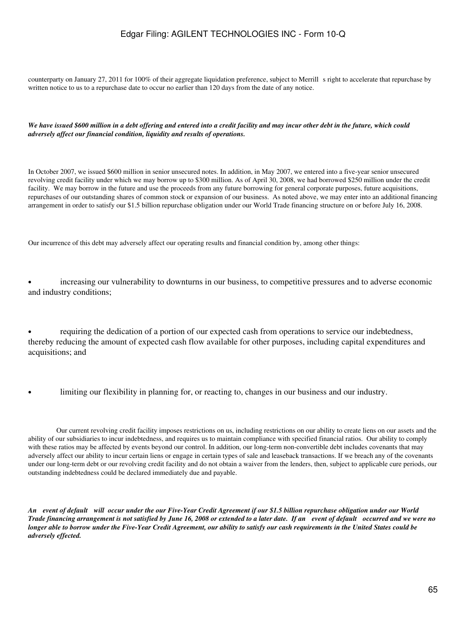counterparty on January 27, 2011 for 100% of their aggregate liquidation preference, subject to Merrill s right to accelerate that repurchase by written notice to us to a repurchase date to occur no earlier than 120 days from the date of any notice.

*We have issued \$600 million in a debt offering and entered into a credit facility and may incur other debt in the future, which could adversely affect our financial condition, liquidity and results of operations.*

In October 2007, we issued \$600 million in senior unsecured notes. In addition, in May 2007, we entered into a five-year senior unsecured revolving credit facility under which we may borrow up to \$300 million. As of April 30, 2008, we had borrowed \$250 million under the credit facility. We may borrow in the future and use the proceeds from any future borrowing for general corporate purposes, future acquisitions, repurchases of our outstanding shares of common stock or expansion of our business. As noted above, we may enter into an additional financing arrangement in order to satisfy our \$1.5 billion repurchase obligation under our World Trade financing structure on or before July 16, 2008.

Our incurrence of this debt may adversely affect our operating results and financial condition by, among other things:

• increasing our vulnerability to downturns in our business, to competitive pressures and to adverse economic and industry conditions;

• requiring the dedication of a portion of our expected cash from operations to service our indebtedness, thereby reducing the amount of expected cash flow available for other purposes, including capital expenditures and acquisitions; and

limiting our flexibility in planning for, or reacting to, changes in our business and our industry.

 Our current revolving credit facility imposes restrictions on us, including restrictions on our ability to create liens on our assets and the ability of our subsidiaries to incur indebtedness, and requires us to maintain compliance with specified financial ratios. Our ability to comply with these ratios may be affected by events beyond our control. In addition, our long-term non-convertible debt includes covenants that may adversely affect our ability to incur certain liens or engage in certain types of sale and leaseback transactions. If we breach any of the covenants under our long-term debt or our revolving credit facility and do not obtain a waiver from the lenders, then, subject to applicable cure periods, our outstanding indebtedness could be declared immediately due and payable.

*An event of default will occur under the our Five-Year Credit Agreement if our \$1.5 billion repurchase obligation under our World Trade financing arrangement is not satisfied by June 16, 2008 or extended to a later date. If an event of default occurred and we were no longer able to borrow under the Five-Year Credit Agreement, our ability to satisfy our cash requirements in the United States could be adversely effected.*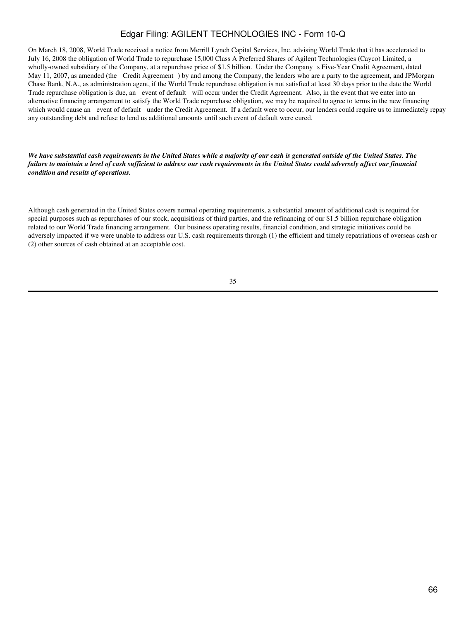On March 18, 2008, World Trade received a notice from Merrill Lynch Capital Services, Inc. advising World Trade that it has accelerated to July 16, 2008 the obligation of World Trade to repurchase 15,000 Class A Preferred Shares of Agilent Technologies (Cayco) Limited, a wholly-owned subsidiary of the Company, at a repurchase price of \$1.5 billion. Under the Company s Five-Year Credit Agreement, dated May 11, 2007, as amended (the Credit Agreement) by and among the Company, the lenders who are a party to the agreement, and JPMorgan Chase Bank, N.A., as administration agent, if the World Trade repurchase obligation is not satisfied at least 30 days prior to the date the World Trade repurchase obligation is due, an event of default will occur under the Credit Agreement. Also, in the event that we enter into an alternative financing arrangement to satisfy the World Trade repurchase obligation, we may be required to agree to terms in the new financing which would cause an event of default under the Credit Agreement. If a default were to occur, our lenders could require us to immediately repay any outstanding debt and refuse to lend us additional amounts until such event of default were cured.

*We have substantial cash requirements in the United States while a majority of our cash is generated outside of the United States. The failure to maintain a level of cash sufficient to address our cash requirements in the United States could adversely affect our financial condition and results of operations.*

Although cash generated in the United States covers normal operating requirements, a substantial amount of additional cash is required for special purposes such as repurchases of our stock, acquisitions of third parties, and the refinancing of our \$1.5 billion repurchase obligation related to our World Trade financing arrangement. Our business operating results, financial condition, and strategic initiatives could be adversely impacted if we were unable to address our U.S. cash requirements through (1) the efficient and timely repatriations of overseas cash or (2) other sources of cash obtained at an acceptable cost.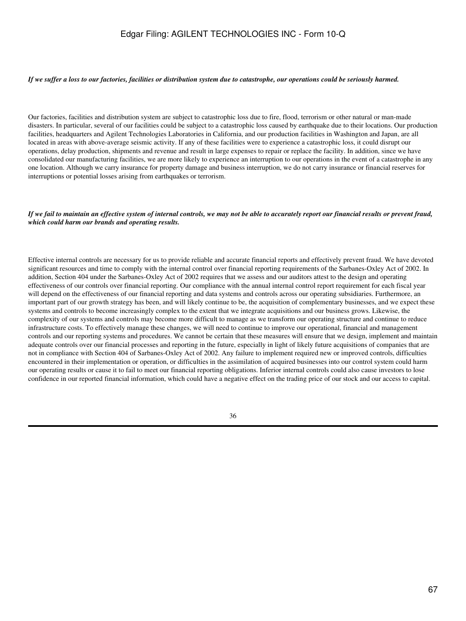#### *If we suffer a loss to our factories, facilities or distribution system due to catastrophe, our operations could be seriously harmed.*

Our factories, facilities and distribution system are subject to catastrophic loss due to fire, flood, terrorism or other natural or man-made disasters. In particular, several of our facilities could be subject to a catastrophic loss caused by earthquake due to their locations. Our production facilities, headquarters and Agilent Technologies Laboratories in California, and our production facilities in Washington and Japan, are all located in areas with above-average seismic activity. If any of these facilities were to experience a catastrophic loss, it could disrupt our operations, delay production, shipments and revenue and result in large expenses to repair or replace the facility. In addition, since we have consolidated our manufacturing facilities, we are more likely to experience an interruption to our operations in the event of a catastrophe in any one location. Although we carry insurance for property damage and business interruption, we do not carry insurance or financial reserves for interruptions or potential losses arising from earthquakes or terrorism.

#### *If we fail to maintain an effective system of internal controls, we may not be able to accurately report our financial results or prevent fraud, which could harm our brands and operating results.*

Effective internal controls are necessary for us to provide reliable and accurate financial reports and effectively prevent fraud. We have devoted significant resources and time to comply with the internal control over financial reporting requirements of the Sarbanes-Oxley Act of 2002. In addition, Section 404 under the Sarbanes-Oxley Act of 2002 requires that we assess and our auditors attest to the design and operating effectiveness of our controls over financial reporting. Our compliance with the annual internal control report requirement for each fiscal year will depend on the effectiveness of our financial reporting and data systems and controls across our operating subsidiaries. Furthermore, an important part of our growth strategy has been, and will likely continue to be, the acquisition of complementary businesses, and we expect these systems and controls to become increasingly complex to the extent that we integrate acquisitions and our business grows. Likewise, the complexity of our systems and controls may become more difficult to manage as we transform our operating structure and continue to reduce infrastructure costs. To effectively manage these changes, we will need to continue to improve our operational, financial and management controls and our reporting systems and procedures. We cannot be certain that these measures will ensure that we design, implement and maintain adequate controls over our financial processes and reporting in the future, especially in light of likely future acquisitions of companies that are not in compliance with Section 404 of Sarbanes-Oxley Act of 2002. Any failure to implement required new or improved controls, difficulties encountered in their implementation or operation, or difficulties in the assimilation of acquired businesses into our control system could harm our operating results or cause it to fail to meet our financial reporting obligations. Inferior internal controls could also cause investors to lose confidence in our reported financial information, which could have a negative effect on the trading price of our stock and our access to capital.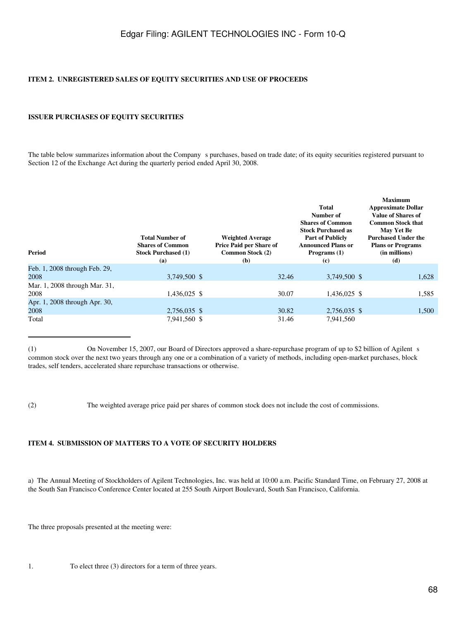#### **ITEM 2. UNREGISTERED SALES OF EQUITY SECURITIES AND USE OF PROCEEDS**

### **ISSUER PURCHASES OF EQUITY SECURITIES**

The table below summarizes information about the Company s purchases, based on trade date; of its equity securities registered pursuant to Section 12 of the Exchange Act during the quarterly period ended April 30, 2008.

| <b>Period</b>                 | <b>Total Number of</b><br><b>Shares of Common</b><br><b>Stock Purchased (1)</b><br>(a) | <b>Weighted Average</b><br>Price Paid per Share of<br>Common Stock (2)<br>(b) | Total<br>Number of<br><b>Shares of Common</b><br><b>Stock Purchased as</b><br><b>Part of Publicly</b><br><b>Announced Plans or</b><br>Programs (1)<br>$\left( \mathbf{c} \right)$ | <b>Maximum</b><br><b>Approximate Dollar</b><br><b>Value of Shares of</b><br><b>Common Stock that</b><br>May Yet Be<br><b>Purchased Under the</b><br><b>Plans or Programs</b><br>(in millions)<br>(d) |
|-------------------------------|----------------------------------------------------------------------------------------|-------------------------------------------------------------------------------|-----------------------------------------------------------------------------------------------------------------------------------------------------------------------------------|------------------------------------------------------------------------------------------------------------------------------------------------------------------------------------------------------|
| Feb. 1, 2008 through Feb. 29, |                                                                                        |                                                                               |                                                                                                                                                                                   |                                                                                                                                                                                                      |
| 2008                          | 3,749,500 \$                                                                           | 32.46                                                                         | 3,749,500 \$                                                                                                                                                                      | 1,628                                                                                                                                                                                                |
| Mar. 1, 2008 through Mar. 31, |                                                                                        |                                                                               |                                                                                                                                                                                   |                                                                                                                                                                                                      |
| 2008                          | 1,436,025 \$                                                                           | 30.07                                                                         | 1,436,025 \$                                                                                                                                                                      | 1,585                                                                                                                                                                                                |
| Apr. 1, 2008 through Apr. 30, |                                                                                        |                                                                               |                                                                                                                                                                                   |                                                                                                                                                                                                      |
| 2008                          | 2,756,035 \$                                                                           | 30.82                                                                         | 2,756,035 \$                                                                                                                                                                      | 1,500                                                                                                                                                                                                |
| Total                         | 7,941,560 \$                                                                           | 31.46                                                                         | 7,941,560                                                                                                                                                                         |                                                                                                                                                                                                      |

<sup>(1)</sup> On November 15, 2007, our Board of Directors approved a share-repurchase program of up to \$2 billion of Agilent s common stock over the next two years through any one or a combination of a variety of methods, including open-market purchases, block trades, self tenders, accelerated share repurchase transactions or otherwise.

(2) The weighted average price paid per shares of common stock does not include the cost of commissions.

### **ITEM 4. SUBMISSION OF MATTERS TO A VOTE OF SECURITY HOLDERS**

a) The Annual Meeting of Stockholders of Agilent Technologies, Inc. was held at 10:00 a.m. Pacific Standard Time, on February 27, 2008 at the South San Francisco Conference Center located at 255 South Airport Boulevard, South San Francisco, California.

The three proposals presented at the meeting were:

1. To elect three (3) directors for a term of three years.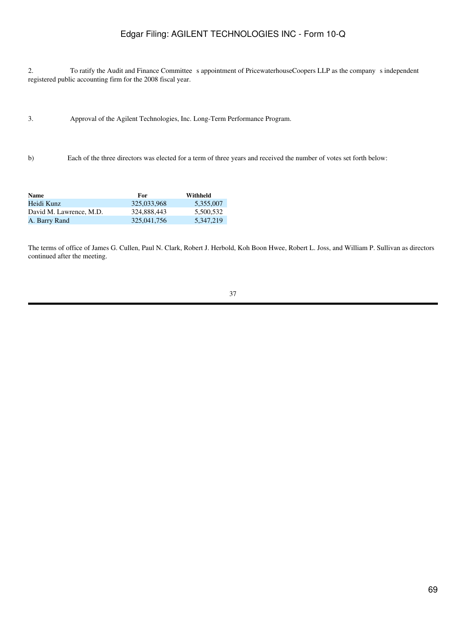2. To ratify the Audit and Finance Committees appointment of PricewaterhouseCoopers LLP as the companys independent registered public accounting firm for the 2008 fiscal year.

- 3. Approval of the Agilent Technologies, Inc. Long-Term Performance Program.
- b) Each of the three directors was elected for a term of three years and received the number of votes set forth below:

| <b>Name</b>             | For         | Withheld  |
|-------------------------|-------------|-----------|
| Heidi Kunz              | 325,033,968 | 5.355,007 |
| David M. Lawrence, M.D. | 324,888,443 | 5.500.532 |
| A. Barry Rand           | 325,041,756 | 5.347.219 |

The terms of office of James G. Cullen, Paul N. Clark, Robert J. Herbold, Koh Boon Hwee, Robert L. Joss, and William P. Sullivan as directors continued after the meeting.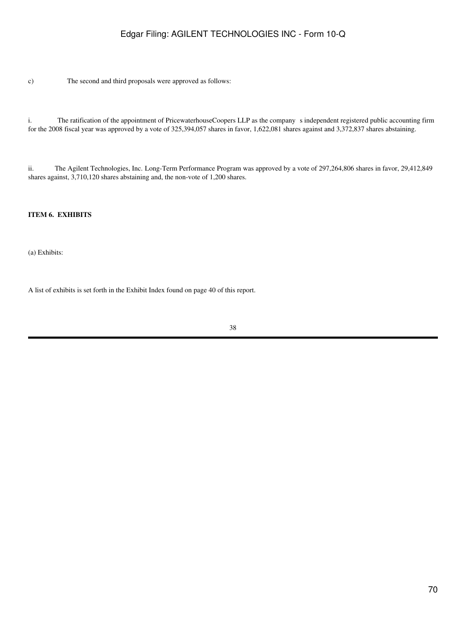c) The second and third proposals were approved as follows:

i. The ratification of the appointment of PricewaterhouseCoopers LLP as the company s independent registered public accounting firm for the 2008 fiscal year was approved by a vote of 325,394,057 shares in favor, 1,622,081 shares against and 3,372,837 shares abstaining.

ii. The Agilent Technologies, Inc. Long-Term Performance Program was approved by a vote of 297,264,806 shares in favor, 29,412,849 shares against, 3,710,120 shares abstaining and, the non-vote of 1,200 shares.

### **ITEM 6. EXHIBITS**

(a) Exhibits:

A list of exhibits is set forth in the Exhibit Index found on page 40 of this report.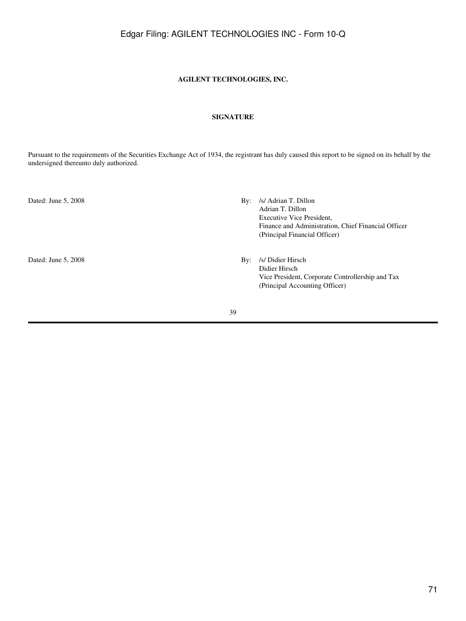### **AGILENT TECHNOLOGIES, INC.**

### **SIGNATURE**

Pursuant to the requirements of the Securities Exchange Act of 1934, the registrant has duly caused this report to be signed on its behalf by the undersigned thereunto duly authorized.

Dated: June 5, 2008 By: /s/ Didier Hirsch

- Dated: June 5, 2008 By: /s/ Adrian T. Dillon Adrian T. Dillon Executive Vice President, Finance and Administration, Chief Financial Officer (Principal Financial Officer)
	- Didier Hirsch Vice President, Corporate Controllership and Tax (Principal Accounting Officer)